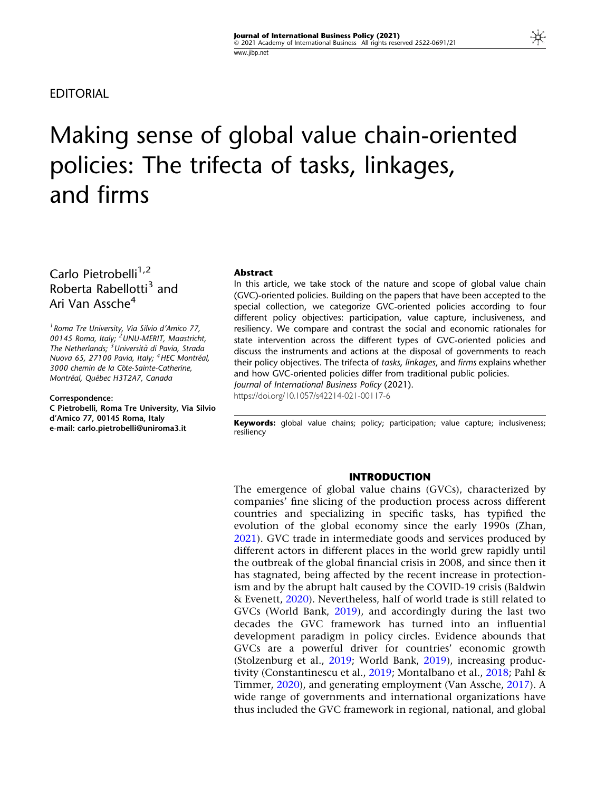EDITORIAL

# Making sense of global value chain-oriented policies: The trifecta of tasks, linkages, and firms

# Carlo Pietrobelli $1,2$ Roberta Rabellotti<sup>3</sup> and Ari Van Assche<sup>4</sup>

1 Roma Tre University, Via Silvio d'Amico 77, 00145 Roma, Italy; <sup>2</sup> UNU-MERIT, Maastricht, The Netherlands; <sup>3</sup> Università di Pavia, Strada Nuova 65, 27100 Pavia, Italy; <sup>4</sup> HEC Montréal, 3000 chemin de la Côte-Sainte-Catherine, Montréal, Québec H3T2A7, Canada

#### Correspondence:

C Pietrobelli, Roma Tre University, Via Silvio d'Amico 77, 00145 Roma, Italy e-mail: carlo.pietrobelli@uniroma3.it

#### Abstract

In this article, we take stock of the nature and scope of global value chain (GVC)-oriented policies. Building on the papers that have been accepted to the special collection, we categorize GVC-oriented policies according to four different policy objectives: participation, value capture, inclusiveness, and resiliency. We compare and contrast the social and economic rationales for state intervention across the different types of GVC-oriented policies and discuss the instruments and actions at the disposal of governments to reach their policy objectives. The trifecta of tasks, linkages, and firms explains whether and how GVC-oriented policies differ from traditional public policies. Journal of International Business Policy (2021).

https://doi.org/10.1057/s42214-021-00117-6

Keywords: global value chains; policy; participation; value capture; inclusiveness; resiliency

#### INTRODUCTION

The emergence of global value chains (GVCs), characterized by companies' fine slicing of the production process across different countries and specializing in specific tasks, has typified the evolution of the global economy since the early 1990s (Zhan, [2021\)](#page-19-0). GVC trade in intermediate goods and services produced by different actors in different places in the world grew rapidly until the outbreak of the global financial crisis in 2008, and since then it has stagnated, being affected by the recent increase in protectionism and by the abrupt halt caused by the COVID-19 crisis (Baldwin & Evenett, [2020\)](#page-17-0). Nevertheless, half of world trade is still related to GVCs (World Bank, [2019](#page-19-0)), and accordingly during the last two decades the GVC framework has turned into an influential development paradigm in policy circles. Evidence abounds that GVCs are a powerful driver for countries' economic growth (Stolzenburg et al., [2019;](#page-19-0) World Bank, [2019](#page-19-0)), increasing productivity (Constantinescu et al., [2019;](#page-17-0) Montalbano et al., [2018;](#page-18-0) Pahl & Timmer, [2020](#page-18-0)), and generating employment (Van Assche, [2017\)](#page-19-0). A wide range of governments and international organizations have thus included the GVC framework in regional, national, and global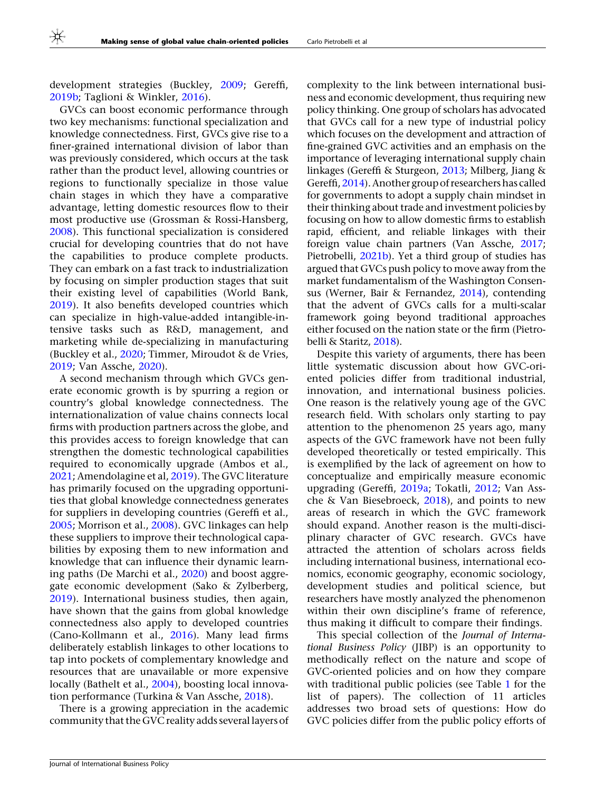development strategies (Buckley, [2009](#page-17-0); Gereffi, [2019b](#page-17-0); Taglioni & Winkler, [2016](#page-19-0)).

GVCs can boost economic performance through two key mechanisms: functional specialization and knowledge connectedness. First, GVCs give rise to a finer-grained international division of labor than was previously considered, which occurs at the task rather than the product level, allowing countries or regions to functionally specialize in those value chain stages in which they have a comparative advantage, letting domestic resources flow to their most productive use (Grossman & Rossi-Hansberg, [2008\)](#page-17-0). This functional specialization is considered crucial for developing countries that do not have the capabilities to produce complete products. They can embark on a fast track to industrialization by focusing on simpler production stages that suit their existing level of capabilities (World Bank, [2019\)](#page-19-0). It also benefits developed countries which can specialize in high-value-added intangible-intensive tasks such as R&D, management, and marketing while de-specializing in manufacturing (Buckley et al., [2020;](#page-17-0) Timmer, Miroudot & de Vries, [2019;](#page-19-0) Van Assche, [2020](#page-19-0)).

A second mechanism through which GVCs generate economic growth is by spurring a region or country's global knowledge connectedness. The internationalization of value chains connects local firms with production partners across the globe, and this provides access to foreign knowledge that can strengthen the domestic technological capabilities required to economically upgrade (Ambos et al., [2021;](#page-16-0) Amendolagine et al, [2019\)](#page-16-0). The GVC literature has primarily focused on the upgrading opportunities that global knowledge connectedness generates for suppliers in developing countries (Gereffi et al., [2005;](#page-17-0) Morrison et al., [2008](#page-18-0)). GVC linkages can help these suppliers to improve their technological capabilities by exposing them to new information and knowledge that can influence their dynamic learning paths (De Marchi et al., [2020](#page-17-0)) and boost aggregate economic development (Sako & Zylberberg, [2019\)](#page-18-0). International business studies, then again, have shown that the gains from global knowledge connectedness also apply to developed countries (Cano-Kollmann et al., [2016\)](#page-17-0). Many lead firms deliberately establish linkages to other locations to tap into pockets of complementary knowledge and resources that are unavailable or more expensive locally (Bathelt et al., [2004\)](#page-16-0), boosting local innovation performance (Turkina & Van Assche, [2018](#page-19-0)).

There is a growing appreciation in the academic community that the GVC reality adds several layers of complexity to the link between international business and economic development, thus requiring new policy thinking. One group of scholars has advocated that GVCs call for a new type of industrial policy which focuses on the development and attraction of fine-grained GVC activities and an emphasis on the importance of leveraging international supply chain linkages (Gereffi & Sturgeon, [2013](#page-17-0); Milberg, Jiang & Gereffi, [2014](#page-18-0)). Another group of researchers has called for governments to adopt a supply chain mindset in their thinking about trade and investment policies by focusing on how to allow domestic firms to establish rapid, efficient, and reliable linkages with their foreign value chain partners (Van Assche, [2017;](#page-19-0) Pietrobelli, [2021b\)](#page-18-0). Yet a third group of studies has argued that GVCs push policy to move away from the market fundamentalism of the Washington Consensus (Werner, Bair & Fernandez, [2014](#page-19-0)), contending that the advent of GVCs calls for a multi-scalar framework going beyond traditional approaches either focused on the nation state or the firm (Pietrobelli & Staritz, [2018\)](#page-18-0).

Despite this variety of arguments, there has been little systematic discussion about how GVC-oriented policies differ from traditional industrial, innovation, and international business policies. One reason is the relatively young age of the GVC research field. With scholars only starting to pay attention to the phenomenon 25 years ago, many aspects of the GVC framework have not been fully developed theoretically or tested empirically. This is exemplified by the lack of agreement on how to conceptualize and empirically measure economic upgrading (Gereffi, [2019a](#page-17-0); Tokatli, [2012;](#page-19-0) Van Assche & Van Biesebroeck, [2018\)](#page-19-0), and points to new areas of research in which the GVC framework should expand. Another reason is the multi-disciplinary character of GVC research. GVCs have attracted the attention of scholars across fields including international business, international economics, economic geography, economic sociology, development studies and political science, but researchers have mostly analyzed the phenomenon within their own discipline's frame of reference, thus making it difficult to compare their findings.

This special collection of the Journal of International Business Policy (JIBP) is an opportunity to methodically reflect on the nature and scope of GVC-oriented policies and on how they compare with traditional public policies (see Table [1](#page-2-0) for the list of papers). The collection of 11 articles addresses two broad sets of questions: How do GVC policies differ from the public policy efforts of

Journal of International Business Policy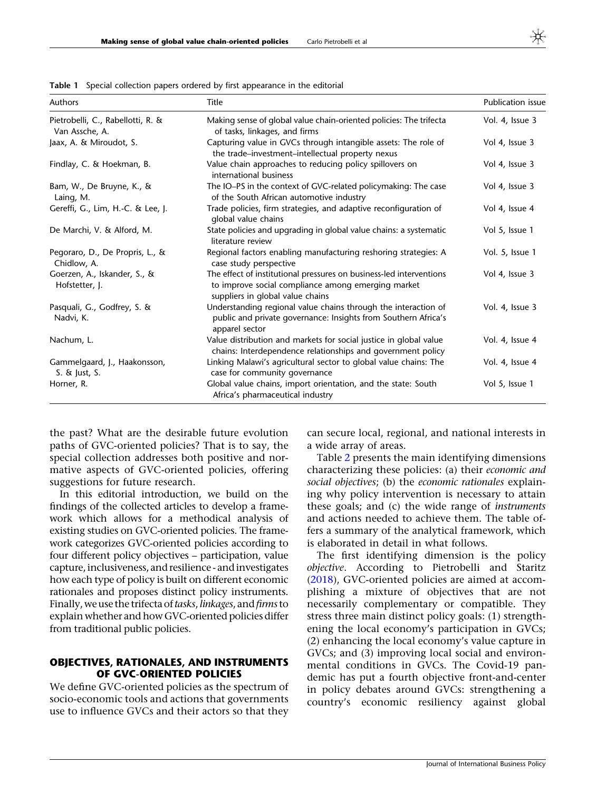| $\frac{1}{2}$ and $\frac{1}{2}$ special concerns papers ordered by instruptunance in the curtonal |                                                                                                                                                               |                          |  |  |
|---------------------------------------------------------------------------------------------------|---------------------------------------------------------------------------------------------------------------------------------------------------------------|--------------------------|--|--|
| Authors                                                                                           | Title                                                                                                                                                         | <b>Publication issue</b> |  |  |
| Pietrobelli, C., Rabellotti, R. &<br>Van Assche, A.                                               | Making sense of global value chain-oriented policies: The trifecta<br>of tasks, linkages, and firms                                                           | Vol. 4, Issue 3          |  |  |
| Jaax, A. & Miroudot, S.                                                                           | Capturing value in GVCs through intangible assets: The role of<br>the trade-investment-intellectual property nexus                                            | Vol 4, Issue 3           |  |  |
| Findlay, C. & Hoekman, B.                                                                         | Value chain approaches to reducing policy spillovers on<br>international business                                                                             | Vol 4, Issue 3           |  |  |
| Bam, W., De Bruyne, K., &<br>Laing, M.                                                            | The IO-PS in the context of GVC-related policymaking: The case<br>of the South African automotive industry                                                    | Vol 4, Issue 3           |  |  |
| Gereffi, G., Lim, H.-C. & Lee, J.                                                                 | Trade policies, firm strategies, and adaptive reconfiguration of<br>global value chains                                                                       | Vol 4, Issue 4           |  |  |
| De Marchi, V. & Alford, M.                                                                        | State policies and upgrading in global value chains: a systematic<br>literature review                                                                        | Vol 5, Issue 1           |  |  |
| Pegoraro, D., De Propris, L., &<br>Chidlow, A.                                                    | Regional factors enabling manufacturing reshoring strategies: A<br>case study perspective                                                                     | Vol. 5, Issue 1          |  |  |
| Goerzen, A., Iskander, S., &<br>Hofstetter, J.                                                    | The effect of institutional pressures on business-led interventions<br>to improve social compliance among emerging market<br>suppliers in global value chains | Vol 4, Issue 3           |  |  |
| Pasquali, G., Godfrey, S. &<br>Nadvi, K.                                                          | Understanding regional value chains through the interaction of<br>public and private governance: Insights from Southern Africa's<br>apparel sector            | Vol. 4, Issue 3          |  |  |
| Nachum, L.                                                                                        | Value distribution and markets for social justice in global value<br>chains: Interdependence relationships and government policy                              | Vol. 4, Issue 4          |  |  |
| Gammelgaard, J., Haakonsson,<br>$S. \&$ Just, S.                                                  | Linking Malawi's agricultural sector to global value chains: The<br>case for community governance                                                             | Vol. 4, Issue 4          |  |  |
| Horner, R.                                                                                        | Global value chains, import orientation, and the state: South<br>Africa's pharmaceutical industry                                                             | Vol 5, Issue 1           |  |  |

<span id="page-2-0"></span>Table 1 Special collection papers ordered by first appearance in the editorial

the past? What are the desirable future evolution paths of GVC-oriented policies? That is to say, the special collection addresses both positive and normative aspects of GVC-oriented policies, offering suggestions for future research.

In this editorial introduction, we build on the findings of the collected articles to develop a framework which allows for a methodical analysis of existing studies on GVC-oriented policies. The framework categorizes GVC-oriented policies according to four different policy objectives – participation, value capture, inclusiveness, and resilience - and investigates how each type of policy is built on different economic rationales and proposes distinct policy instruments. Finally, we use the trifecta of tasks, linkages, and firms to explain whether and how GVC-oriented policies differ from traditional public policies.

# OBJECTIVES, RATIONALES, AND INSTRUMENTS OF GVC-ORIENTED POLICIES

We define GVC-oriented policies as the spectrum of socio-economic tools and actions that governments use to influence GVCs and their actors so that they can secure local, regional, and national interests in a wide array of areas.

Table [2](#page-3-0) presents the main identifying dimensions characterizing these policies: (a) their economic and social objectives; (b) the economic rationales explaining why policy intervention is necessary to attain these goals; and (c) the wide range of instruments and actions needed to achieve them. The table offers a summary of the analytical framework, which is elaborated in detail in what follows.

The first identifying dimension is the policy objective. According to Pietrobelli and Staritz [\(2018](#page-18-0)), GVC-oriented policies are aimed at accomplishing a mixture of objectives that are not necessarily complementary or compatible. They stress three main distinct policy goals: (1) strengthening the local economy's participation in GVCs; (2) enhancing the local economy's value capture in GVCs; and (3) improving local social and environmental conditions in GVCs. The Covid-19 pandemic has put a fourth objective front-and-center in policy debates around GVCs: strengthening a country's economic resiliency against global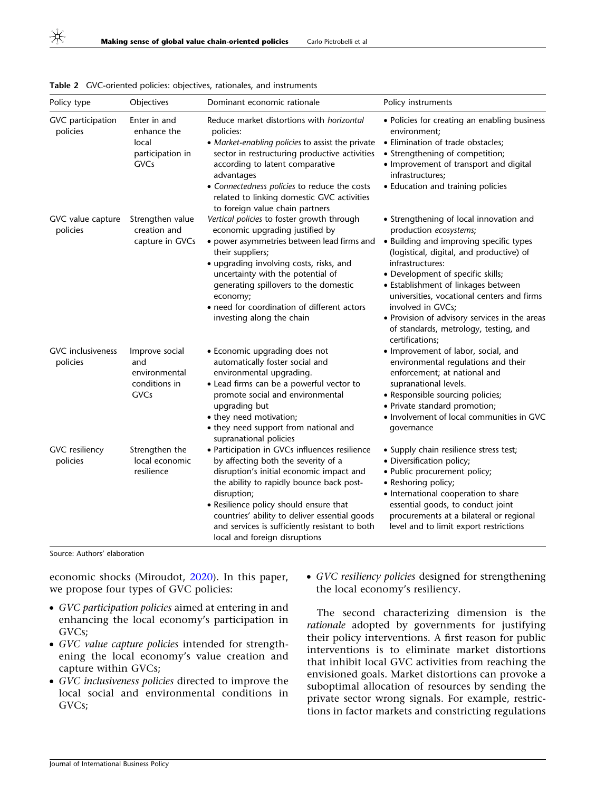| Policy type                          | Objectives                                                              | Dominant economic rationale                                                                                                                                                                                                                                                                                                                                               | Policy instruments                                                                                                                                                                                                                                                                                                                                                                                                                       |
|--------------------------------------|-------------------------------------------------------------------------|---------------------------------------------------------------------------------------------------------------------------------------------------------------------------------------------------------------------------------------------------------------------------------------------------------------------------------------------------------------------------|------------------------------------------------------------------------------------------------------------------------------------------------------------------------------------------------------------------------------------------------------------------------------------------------------------------------------------------------------------------------------------------------------------------------------------------|
| GVC participation<br>policies        | Enter in and<br>enhance the<br>local<br>participation in<br><b>GVCs</b> | Reduce market distortions with horizontal<br>policies:<br>• Market-enabling policies to assist the private<br>sector in restructuring productive activities<br>according to latent comparative<br>advantages<br>• Connectedness policies to reduce the costs<br>related to linking domestic GVC activities<br>to foreign value chain partners                             | • Policies for creating an enabling business<br>environment;<br>• Elimination of trade obstacles;<br>• Strengthening of competition;<br>• Improvement of transport and digital<br>infrastructures;<br>• Education and training policies                                                                                                                                                                                                  |
| GVC value capture<br>policies        | Strengthen value<br>creation and<br>capture in GVCs                     | Vertical policies to foster growth through<br>economic upgrading justified by<br>• power asymmetries between lead firms and<br>their suppliers;<br>• upgrading involving costs, risks, and<br>uncertainty with the potential of<br>generating spillovers to the domestic<br>economy;<br>• need for coordination of different actors<br>investing along the chain          | • Strengthening of local innovation and<br>production ecosystems;<br>• Building and improving specific types<br>(logistical, digital, and productive) of<br>infrastructures:<br>• Development of specific skills;<br>• Establishment of linkages between<br>universities, vocational centers and firms<br>involved in GVCs;<br>• Provision of advisory services in the areas<br>of standards, metrology, testing, and<br>certifications; |
| <b>GVC</b> inclusiveness<br>policies | Improve social<br>and<br>environmental<br>conditions in<br>GVCs         | • Economic upgrading does not<br>automatically foster social and<br>environmental upgrading.<br>• Lead firms can be a powerful vector to<br>promote social and environmental<br>upgrading but<br>• they need motivation;<br>• they need support from national and<br>supranational policies                                                                               | • Improvement of labor, social, and<br>environmental regulations and their<br>enforcement; at national and<br>supranational levels.<br>• Responsible sourcing policies;<br>• Private standard promotion;<br>• Involvement of local communities in GVC<br>governance                                                                                                                                                                      |
| <b>GVC</b> resiliency<br>policies    | Strengthen the<br>local economic<br>resilience                          | • Participation in GVCs influences resilience<br>by affecting both the severity of a<br>disruption's initial economic impact and<br>the ability to rapidly bounce back post-<br>disruption;<br>• Resilience policy should ensure that<br>countries' ability to deliver essential goods<br>and services is sufficiently resistant to both<br>local and foreign disruptions | • Supply chain resilience stress test;<br>· Diversification policy;<br>· Public procurement policy;<br>• Reshoring policy;<br>• International cooperation to share<br>essential goods, to conduct joint<br>procurements at a bilateral or regional<br>level and to limit export restrictions                                                                                                                                             |

<span id="page-3-0"></span>Table 2 GVC-oriented policies: objectives, rationales, and instruments

Source: Authors' elaboration

economic shocks (Miroudot, [2020\)](#page-18-0). In this paper, we propose four types of GVC policies:

- GVC participation policies aimed at entering in and enhancing the local economy's participation in GVCs;
- GVC value capture policies intended for strengthening the local economy's value creation and capture within GVCs;
- GVC inclusiveness policies directed to improve the local social and environmental conditions in GVCs;

• GVC resiliency policies designed for strengthening the local economy's resiliency.

The second characterizing dimension is the rationale adopted by governments for justifying their policy interventions. A first reason for public interventions is to eliminate market distortions that inhibit local GVC activities from reaching the envisioned goals. Market distortions can provoke a suboptimal allocation of resources by sending the private sector wrong signals. For example, restrictions in factor markets and constricting regulations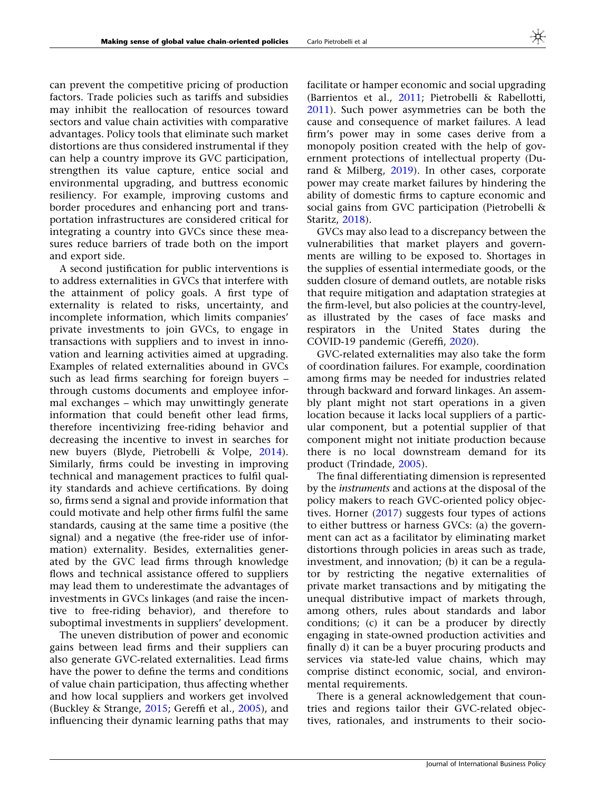can prevent the competitive pricing of production factors. Trade policies such as tariffs and subsidies may inhibit the reallocation of resources toward sectors and value chain activities with comparative advantages. Policy tools that eliminate such market distortions are thus considered instrumental if they can help a country improve its GVC participation, strengthen its value capture, entice social and environmental upgrading, and buttress economic resiliency. For example, improving customs and border procedures and enhancing port and transportation infrastructures are considered critical for integrating a country into GVCs since these measures reduce barriers of trade both on the import and export side.

A second justification for public interventions is to address externalities in GVCs that interfere with the attainment of policy goals. A first type of externality is related to risks, uncertainty, and incomplete information, which limits companies' private investments to join GVCs, to engage in transactions with suppliers and to invest in innovation and learning activities aimed at upgrading. Examples of related externalities abound in GVCs such as lead firms searching for foreign buyers – through customs documents and employee informal exchanges – which may unwittingly generate information that could benefit other lead firms, therefore incentivizing free-riding behavior and decreasing the incentive to invest in searches for new buyers (Blyde, Pietrobelli & Volpe, [2014\)](#page-17-0). Similarly, firms could be investing in improving technical and management practices to fulfil quality standards and achieve certifications. By doing so, firms send a signal and provide information that could motivate and help other firms fulfil the same standards, causing at the same time a positive (the signal) and a negative (the free-rider use of information) externality. Besides, externalities generated by the GVC lead firms through knowledge flows and technical assistance offered to suppliers may lead them to underestimate the advantages of investments in GVCs linkages (and raise the incentive to free-riding behavior), and therefore to suboptimal investments in suppliers' development.

The uneven distribution of power and economic gains between lead firms and their suppliers can also generate GVC-related externalities. Lead firms have the power to define the terms and conditions of value chain participation, thus affecting whether and how local suppliers and workers get involved (Buckley & Strange, [2015;](#page-17-0) Gereffi et al., [2005](#page-17-0)), and influencing their dynamic learning paths that may facilitate or hamper economic and social upgrading (Barrientos et al., [2011](#page-16-0); Pietrobelli & Rabellotti, [2011\)](#page-18-0). Such power asymmetries can be both the cause and consequence of market failures. A lead firm's power may in some cases derive from a monopoly position created with the help of government protections of intellectual property (Durand & Milberg, [2019](#page-17-0)). In other cases, corporate power may create market failures by hindering the ability of domestic firms to capture economic and social gains from GVC participation (Pietrobelli & Staritz, [2018](#page-18-0)).

GVCs may also lead to a discrepancy between the vulnerabilities that market players and governments are willing to be exposed to. Shortages in the supplies of essential intermediate goods, or the sudden closure of demand outlets, are notable risks that require mitigation and adaptation strategies at the firm-level, but also policies at the country-level, as illustrated by the cases of face masks and respirators in the United States during the COVID-19 pandemic (Gereffi, [2020](#page-17-0)).

GVC-related externalities may also take the form of coordination failures. For example, coordination among firms may be needed for industries related through backward and forward linkages. An assembly plant might not start operations in a given location because it lacks local suppliers of a particular component, but a potential supplier of that component might not initiate production because there is no local downstream demand for its product (Trindade, [2005](#page-19-0)).

The final differentiating dimension is represented by the instruments and actions at the disposal of the policy makers to reach GVC-oriented policy objectives. Horner ([2017](#page-17-0)) suggests four types of actions to either buttress or harness GVCs: (a) the government can act as a facilitator by eliminating market distortions through policies in areas such as trade, investment, and innovation; (b) it can be a regulator by restricting the negative externalities of private market transactions and by mitigating the unequal distributive impact of markets through, among others, rules about standards and labor conditions; (c) it can be a producer by directly engaging in state-owned production activities and finally d) it can be a buyer procuring products and services via state-led value chains, which may comprise distinct economic, social, and environmental requirements.

There is a general acknowledgement that countries and regions tailor their GVC-related objectives, rationales, and instruments to their socio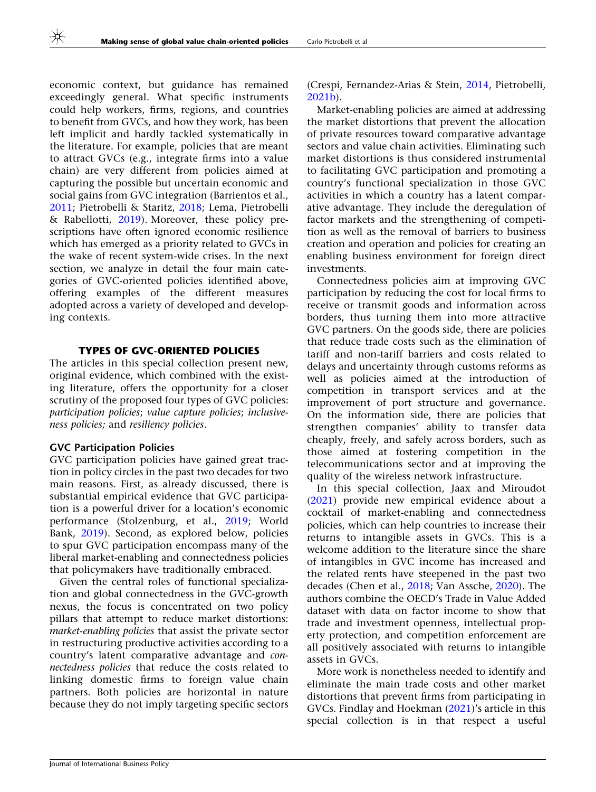economic context, but guidance has remained exceedingly general. What specific instruments could help workers, firms, regions, and countries to benefit from GVCs, and how they work, has been left implicit and hardly tackled systematically in the literature. For example, policies that are meant to attract GVCs (e.g., integrate firms into a value chain) are very different from policies aimed at capturing the possible but uncertain economic and social gains from GVC integration (Barrientos et al., [2011;](#page-16-0) Pietrobelli & Staritz, [2018;](#page-18-0) Lema, Pietrobelli & Rabellotti, [2019](#page-18-0)). Moreover, these policy prescriptions have often ignored economic resilience which has emerged as a priority related to GVCs in the wake of recent system-wide crises. In the next section, we analyze in detail the four main categories of GVC-oriented policies identified above, offering examples of the different measures adopted across a variety of developed and developing contexts.

#### TYPES OF GVC-ORIENTED POLICIES

The articles in this special collection present new, original evidence, which combined with the existing literature, offers the opportunity for a closer scrutiny of the proposed four types of GVC policies: participation policies; value capture policies; inclusiveness policies; and resiliency policies.

#### GVC Participation Policies

GVC participation policies have gained great traction in policy circles in the past two decades for two main reasons. First, as already discussed, there is substantial empirical evidence that GVC participation is a powerful driver for a location's economic performance (Stolzenburg, et al., [2019](#page-19-0); World Bank, [2019\)](#page-19-0). Second, as explored below, policies to spur GVC participation encompass many of the liberal market-enabling and connectedness policies that policymakers have traditionally embraced.

Given the central roles of functional specialization and global connectedness in the GVC-growth nexus, the focus is concentrated on two policy pillars that attempt to reduce market distortions: market-enabling policies that assist the private sector in restructuring productive activities according to a country's latent comparative advantage and connectedness policies that reduce the costs related to linking domestic firms to foreign value chain partners. Both policies are horizontal in nature because they do not imply targeting specific sectors

(Crespi, Fernandez-Arias & Stein, [2014,](#page-17-0) Pietrobelli, [2021b\)](#page-18-0).

Market-enabling policies are aimed at addressing the market distortions that prevent the allocation of private resources toward comparative advantage sectors and value chain activities. Eliminating such market distortions is thus considered instrumental to facilitating GVC participation and promoting a country's functional specialization in those GVC activities in which a country has a latent comparative advantage. They include the deregulation of factor markets and the strengthening of competition as well as the removal of barriers to business creation and operation and policies for creating an enabling business environment for foreign direct investments.

Connectedness policies aim at improving GVC participation by reducing the cost for local firms to receive or transmit goods and information across borders, thus turning them into more attractive GVC partners. On the goods side, there are policies that reduce trade costs such as the elimination of tariff and non-tariff barriers and costs related to delays and uncertainty through customs reforms as well as policies aimed at the introduction of competition in transport services and at the improvement of port structure and governance. On the information side, there are policies that strengthen companies' ability to transfer data cheaply, freely, and safely across borders, such as those aimed at fostering competition in the telecommunications sector and at improving the quality of the wireless network infrastructure.

In this special collection, Jaax and Miroudot [\(2021](#page-18-0)) provide new empirical evidence about a cocktail of market-enabling and connectedness policies, which can help countries to increase their returns to intangible assets in GVCs. This is a welcome addition to the literature since the share of intangibles in GVC income has increased and the related rents have steepened in the past two decades (Chen et al., [2018](#page-17-0); Van Assche, [2020](#page-19-0)). The authors combine the OECD's Trade in Value Added dataset with data on factor income to show that trade and investment openness, intellectual property protection, and competition enforcement are all positively associated with returns to intangible assets in GVCs.

More work is nonetheless needed to identify and eliminate the main trade costs and other market distortions that prevent firms from participating in GVCs. Findlay and Hoekman [\(2021](#page-17-0))'s article in this special collection is in that respect a useful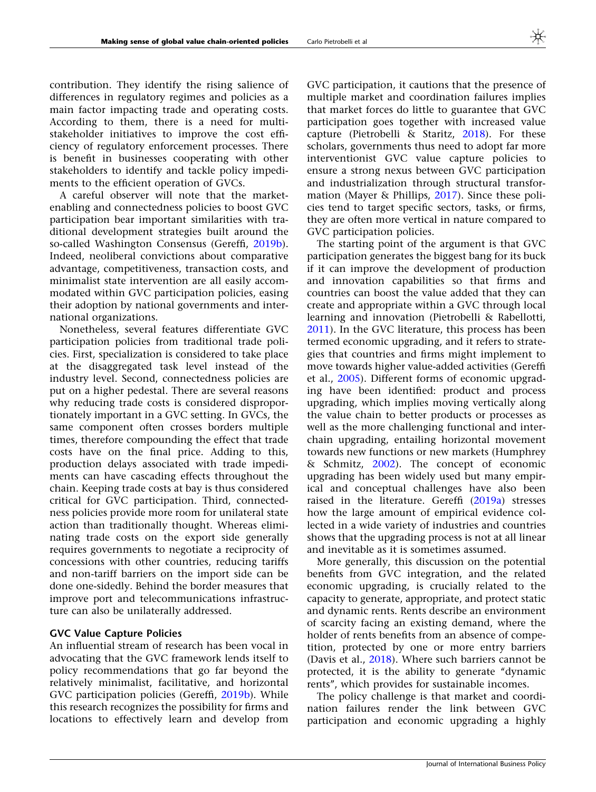contribution. They identify the rising salience of differences in regulatory regimes and policies as a main factor impacting trade and operating costs. According to them, there is a need for multistakeholder initiatives to improve the cost efficiency of regulatory enforcement processes. There is benefit in businesses cooperating with other stakeholders to identify and tackle policy impediments to the efficient operation of GVCs.

A careful observer will note that the marketenabling and connectedness policies to boost GVC participation bear important similarities with traditional development strategies built around the so-called Washington Consensus (Gereffi, [2019b\)](#page-17-0). Indeed, neoliberal convictions about comparative advantage, competitiveness, transaction costs, and minimalist state intervention are all easily accommodated within GVC participation policies, easing their adoption by national governments and international organizations.

Nonetheless, several features differentiate GVC participation policies from traditional trade policies. First, specialization is considered to take place at the disaggregated task level instead of the industry level. Second, connectedness policies are put on a higher pedestal. There are several reasons why reducing trade costs is considered disproportionately important in a GVC setting. In GVCs, the same component often crosses borders multiple times, therefore compounding the effect that trade costs have on the final price. Adding to this, production delays associated with trade impediments can have cascading effects throughout the chain. Keeping trade costs at bay is thus considered critical for GVC participation. Third, connectedness policies provide more room for unilateral state action than traditionally thought. Whereas eliminating trade costs on the export side generally requires governments to negotiate a reciprocity of concessions with other countries, reducing tariffs and non-tariff barriers on the import side can be done one-sidedly. Behind the border measures that improve port and telecommunications infrastructure can also be unilaterally addressed.

# GVC Value Capture Policies

An influential stream of research has been vocal in advocating that the GVC framework lends itself to policy recommendations that go far beyond the relatively minimalist, facilitative, and horizontal GVC participation policies (Gereffi, [2019b\)](#page-17-0). While this research recognizes the possibility for firms and locations to effectively learn and develop from

GVC participation, it cautions that the presence of multiple market and coordination failures implies that market forces do little to guarantee that GVC participation goes together with increased value capture (Pietrobelli & Staritz, [2018](#page-18-0)). For these scholars, governments thus need to adopt far more interventionist GVC value capture policies to ensure a strong nexus between GVC participation and industrialization through structural transformation (Mayer & Phillips, [2017](#page-18-0)). Since these policies tend to target specific sectors, tasks, or firms, they are often more vertical in nature compared to GVC participation policies.

The starting point of the argument is that GVC participation generates the biggest bang for its buck if it can improve the development of production and innovation capabilities so that firms and countries can boost the value added that they can create and appropriate within a GVC through local learning and innovation (Pietrobelli & Rabellotti, [2011\)](#page-18-0). In the GVC literature, this process has been termed economic upgrading, and it refers to strategies that countries and firms might implement to move towards higher value-added activities (Gereffi et al., [2005](#page-17-0)). Different forms of economic upgrading have been identified: product and process upgrading, which implies moving vertically along the value chain to better products or processes as well as the more challenging functional and interchain upgrading, entailing horizontal movement towards new functions or new markets (Humphrey & Schmitz, [2002](#page-18-0)). The concept of economic upgrading has been widely used but many empirical and conceptual challenges have also been raised in the literature. Gereffi ([2019a\)](#page-17-0) stresses how the large amount of empirical evidence collected in a wide variety of industries and countries shows that the upgrading process is not at all linear and inevitable as it is sometimes assumed.

More generally, this discussion on the potential benefits from GVC integration, and the related economic upgrading, is crucially related to the capacity to generate, appropriate, and protect static and dynamic rents. Rents describe an environment of scarcity facing an existing demand, where the holder of rents benefits from an absence of competition, protected by one or more entry barriers (Davis et al., [2018\)](#page-17-0). Where such barriers cannot be protected, it is the ability to generate ''dynamic rents'', which provides for sustainable incomes.

The policy challenge is that market and coordination failures render the link between GVC participation and economic upgrading a highly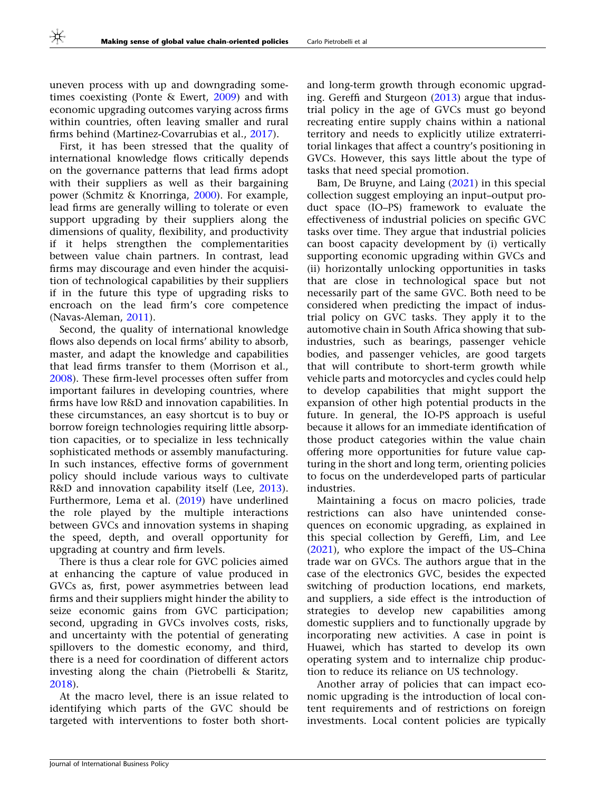uneven process with up and downgrading sometimes coexisting (Ponte & Ewert, [2009\)](#page-18-0) and with economic upgrading outcomes varying across firms within countries, often leaving smaller and rural firms behind (Martinez-Covarrubias et al., [2017\)](#page-18-0).

First, it has been stressed that the quality of international knowledge flows critically depends on the governance patterns that lead firms adopt with their suppliers as well as their bargaining power (Schmitz & Knorringa, [2000\)](#page-19-0). For example, lead firms are generally willing to tolerate or even support upgrading by their suppliers along the dimensions of quality, flexibility, and productivity if it helps strengthen the complementarities between value chain partners. In contrast, lead firms may discourage and even hinder the acquisition of technological capabilities by their suppliers if in the future this type of upgrading risks to encroach on the lead firm's core competence (Navas-Aleman, [2011](#page-18-0)).

Second, the quality of international knowledge flows also depends on local firms' ability to absorb, master, and adapt the knowledge and capabilities that lead firms transfer to them (Morrison et al., [2008\)](#page-18-0). These firm-level processes often suffer from important failures in developing countries, where firms have low R&D and innovation capabilities. In these circumstances, an easy shortcut is to buy or borrow foreign technologies requiring little absorption capacities, or to specialize in less technically sophisticated methods or assembly manufacturing. In such instances, effective forms of government policy should include various ways to cultivate R&D and innovation capability itself (Lee, [2013\)](#page-18-0). Furthermore, Lema et al. ([2019\)](#page-18-0) have underlined the role played by the multiple interactions between GVCs and innovation systems in shaping the speed, depth, and overall opportunity for upgrading at country and firm levels.

There is thus a clear role for GVC policies aimed at enhancing the capture of value produced in GVCs as, first, power asymmetries between lead firms and their suppliers might hinder the ability to seize economic gains from GVC participation; second, upgrading in GVCs involves costs, risks, and uncertainty with the potential of generating spillovers to the domestic economy, and third, there is a need for coordination of different actors investing along the chain (Pietrobelli & Staritz, [2018\)](#page-18-0).

At the macro level, there is an issue related to identifying which parts of the GVC should be targeted with interventions to foster both short-

and long-term growth through economic upgrading. Gereffi and Sturgeon [\(2013](#page-17-0)) argue that industrial policy in the age of GVCs must go beyond recreating entire supply chains within a national territory and needs to explicitly utilize extraterritorial linkages that affect a country's positioning in GVCs. However, this says little about the type of tasks that need special promotion.

Bam, De Bruyne, and Laing ([2021\)](#page-16-0) in this special collection suggest employing an input–output product space (IO–PS) framework to evaluate the effectiveness of industrial policies on specific GVC tasks over time. They argue that industrial policies can boost capacity development by (i) vertically supporting economic upgrading within GVCs and (ii) horizontally unlocking opportunities in tasks that are close in technological space but not necessarily part of the same GVC. Both need to be considered when predicting the impact of industrial policy on GVC tasks. They apply it to the automotive chain in South Africa showing that subindustries, such as bearings, passenger vehicle bodies, and passenger vehicles, are good targets that will contribute to short-term growth while vehicle parts and motorcycles and cycles could help to develop capabilities that might support the expansion of other high potential products in the future. In general, the IO-PS approach is useful because it allows for an immediate identification of those product categories within the value chain offering more opportunities for future value capturing in the short and long term, orienting policies to focus on the underdeveloped parts of particular industries.

Maintaining a focus on macro policies, trade restrictions can also have unintended consequences on economic upgrading, as explained in this special collection by Gereffi, Lim, and Lee [\(2021](#page-17-0)), who explore the impact of the US–China trade war on GVCs. The authors argue that in the case of the electronics GVC, besides the expected switching of production locations, end markets, and suppliers, a side effect is the introduction of strategies to develop new capabilities among domestic suppliers and to functionally upgrade by incorporating new activities. A case in point is Huawei, which has started to develop its own operating system and to internalize chip production to reduce its reliance on US technology.

Another array of policies that can impact economic upgrading is the introduction of local content requirements and of restrictions on foreign investments. Local content policies are typically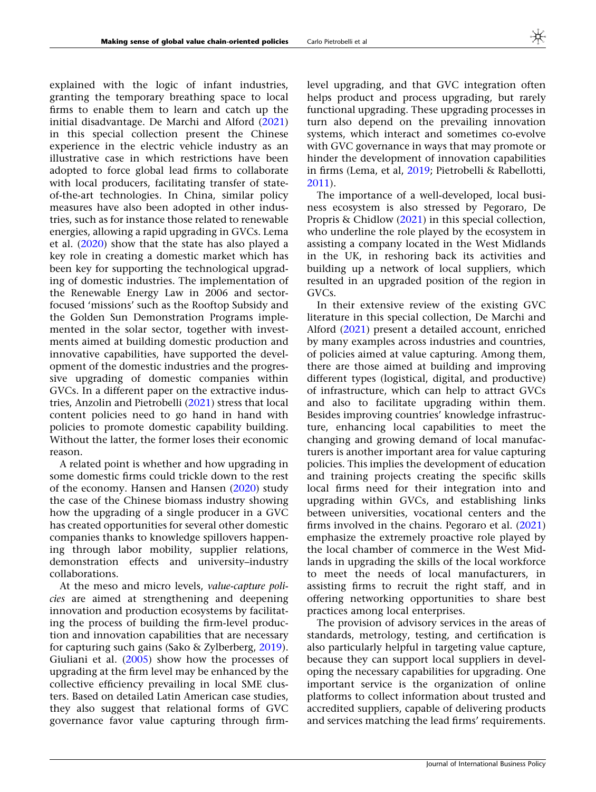explained with the logic of infant industries, granting the temporary breathing space to local firms to enable them to learn and catch up the initial disadvantage. De Marchi and Alford ([2021\)](#page-17-0) in this special collection present the Chinese experience in the electric vehicle industry as an illustrative case in which restrictions have been adopted to force global lead firms to collaborate with local producers, facilitating transfer of stateof-the-art technologies. In China, similar policy measures have also been adopted in other industries, such as for instance those related to renewable energies, allowing a rapid upgrading in GVCs. Lema et al. ([2020\)](#page-18-0) show that the state has also played a key role in creating a domestic market which has been key for supporting the technological upgrading of domestic industries. The implementation of the Renewable Energy Law in 2006 and sectorfocused 'missions' such as the Rooftop Subsidy and the Golden Sun Demonstration Programs implemented in the solar sector, together with investments aimed at building domestic production and innovative capabilities, have supported the development of the domestic industries and the progressive upgrading of domestic companies within GVCs. In a different paper on the extractive industries, Anzolin and Pietrobelli [\(2021](#page-16-0)) stress that local content policies need to go hand in hand with policies to promote domestic capability building. Without the latter, the former loses their economic reason.

A related point is whether and how upgrading in some domestic firms could trickle down to the rest of the economy. Hansen and Hansen [\(2020\)](#page-17-0) study the case of the Chinese biomass industry showing how the upgrading of a single producer in a GVC has created opportunities for several other domestic companies thanks to knowledge spillovers happening through labor mobility, supplier relations, demonstration effects and university–industry collaborations.

At the meso and micro levels, value-capture policies are aimed at strengthening and deepening innovation and production ecosystems by facilitating the process of building the firm-level production and innovation capabilities that are necessary for capturing such gains (Sako & Zylberberg, [2019\)](#page-18-0). Giuliani et al. ([2005](#page-17-0)) show how the processes of upgrading at the firm level may be enhanced by the collective efficiency prevailing in local SME clusters. Based on detailed Latin American case studies, they also suggest that relational forms of GVC governance favor value capturing through firmlevel upgrading, and that GVC integration often helps product and process upgrading, but rarely functional upgrading. These upgrading processes in turn also depend on the prevailing innovation systems, which interact and sometimes co-evolve with GVC governance in ways that may promote or hinder the development of innovation capabilities in firms (Lema, et al, [2019;](#page-18-0) Pietrobelli & Rabellotti, [2011\)](#page-18-0).

The importance of a well-developed, local business ecosystem is also stressed by Pegoraro, De Propris & Chidlow ([2021\)](#page-18-0) in this special collection, who underline the role played by the ecosystem in assisting a company located in the West Midlands in the UK, in reshoring back its activities and building up a network of local suppliers, which resulted in an upgraded position of the region in GVCs.

In their extensive review of the existing GVC literature in this special collection, De Marchi and Alford [\(2021](#page-17-0)) present a detailed account, enriched by many examples across industries and countries, of policies aimed at value capturing. Among them, there are those aimed at building and improving different types (logistical, digital, and productive) of infrastructure, which can help to attract GVCs and also to facilitate upgrading within them. Besides improving countries' knowledge infrastructure, enhancing local capabilities to meet the changing and growing demand of local manufacturers is another important area for value capturing policies. This implies the development of education and training projects creating the specific skills local firms need for their integration into and upgrading within GVCs, and establishing links between universities, vocational centers and the firms involved in the chains. Pegoraro et al. [\(2021](#page-18-0)) emphasize the extremely proactive role played by the local chamber of commerce in the West Midlands in upgrading the skills of the local workforce to meet the needs of local manufacturers, in assisting firms to recruit the right staff, and in offering networking opportunities to share best practices among local enterprises.

The provision of advisory services in the areas of standards, metrology, testing, and certification is also particularly helpful in targeting value capture, because they can support local suppliers in developing the necessary capabilities for upgrading. One important service is the organization of online platforms to collect information about trusted and accredited suppliers, capable of delivering products and services matching the lead firms' requirements.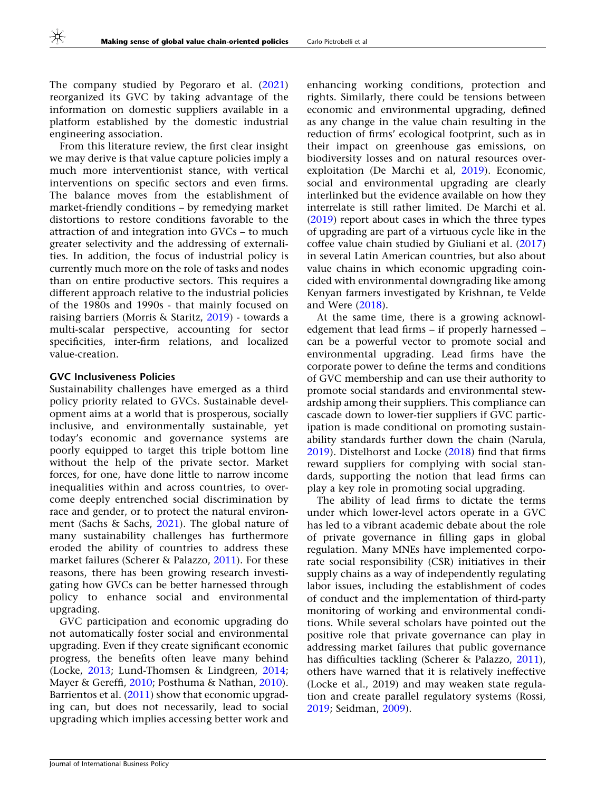The company studied by Pegoraro et al. ([2021\)](#page-18-0) reorganized its GVC by taking advantage of the information on domestic suppliers available in a platform established by the domestic industrial engineering association.

From this literature review, the first clear insight we may derive is that value capture policies imply a much more interventionist stance, with vertical interventions on specific sectors and even firms. The balance moves from the establishment of market-friendly conditions – by remedying market distortions to restore conditions favorable to the attraction of and integration into GVCs – to much greater selectivity and the addressing of externalities. In addition, the focus of industrial policy is currently much more on the role of tasks and nodes than on entire productive sectors. This requires a different approach relative to the industrial policies of the 1980s and 1990s - that mainly focused on raising barriers (Morris & Staritz, [2019\)](#page-18-0) - towards a multi-scalar perspective, accounting for sector specificities, inter-firm relations, and localized value-creation.

#### GVC Inclusiveness Policies

Sustainability challenges have emerged as a third policy priority related to GVCs. Sustainable development aims at a world that is prosperous, socially inclusive, and environmentally sustainable, yet today's economic and governance systems are poorly equipped to target this triple bottom line without the help of the private sector. Market forces, for one, have done little to narrow income inequalities within and across countries, to overcome deeply entrenched social discrimination by race and gender, or to protect the natural environment (Sachs & Sachs, [2021](#page-18-0)). The global nature of many sustainability challenges has furthermore eroded the ability of countries to address these market failures (Scherer & Palazzo, [2011](#page-19-0)). For these reasons, there has been growing research investigating how GVCs can be better harnessed through policy to enhance social and environmental upgrading.

GVC participation and economic upgrading do not automatically foster social and environmental upgrading. Even if they create significant economic progress, the benefits often leave many behind (Locke, [2013;](#page-18-0) Lund-Thomsen & Lindgreen, [2014;](#page-18-0) Mayer & Gereffi, [2010](#page-18-0); Posthuma & Nathan, [2010\)](#page-18-0). Barrientos et al. [\(2011](#page-16-0)) show that economic upgrading can, but does not necessarily, lead to social upgrading which implies accessing better work and

enhancing working conditions, protection and rights. Similarly, there could be tensions between economic and environmental upgrading, defined as any change in the value chain resulting in the reduction of firms' ecological footprint, such as in their impact on greenhouse gas emissions, on biodiversity losses and on natural resources overexploitation (De Marchi et al, [2019](#page-17-0)). Economic, social and environmental upgrading are clearly interlinked but the evidence available on how they interrelate is still rather limited. De Marchi et al. [\(2019](#page-17-0)) report about cases in which the three types of upgrading are part of a virtuous cycle like in the coffee value chain studied by Giuliani et al. [\(2017](#page-17-0)) in several Latin American countries, but also about value chains in which economic upgrading coincided with environmental downgrading like among Kenyan farmers investigated by Krishnan, te Velde and Were ([2018\)](#page-18-0).

At the same time, there is a growing acknowledgement that lead firms – if properly harnessed – can be a powerful vector to promote social and environmental upgrading. Lead firms have the corporate power to define the terms and conditions of GVC membership and can use their authority to promote social standards and environmental stewardship among their suppliers. This compliance can cascade down to lower-tier suppliers if GVC participation is made conditional on promoting sustainability standards further down the chain (Narula, [2019\)](#page-18-0). Distelhorst and Locke [\(2018](#page-17-0)) find that firms reward suppliers for complying with social standards, supporting the notion that lead firms can play a key role in promoting social upgrading.

The ability of lead firms to dictate the terms under which lower-level actors operate in a GVC has led to a vibrant academic debate about the role of private governance in filling gaps in global regulation. Many MNEs have implemented corporate social responsibility (CSR) initiatives in their supply chains as a way of independently regulating labor issues, including the establishment of codes of conduct and the implementation of third-party monitoring of working and environmental conditions. While several scholars have pointed out the positive role that private governance can play in addressing market failures that public governance has difficulties tackling (Scherer & Palazzo, [2011](#page-19-0)), others have warned that it is relatively ineffective (Locke et al., 2019) and may weaken state regulation and create parallel regulatory systems (Rossi, [2019;](#page-18-0) Seidman, [2009](#page-19-0)).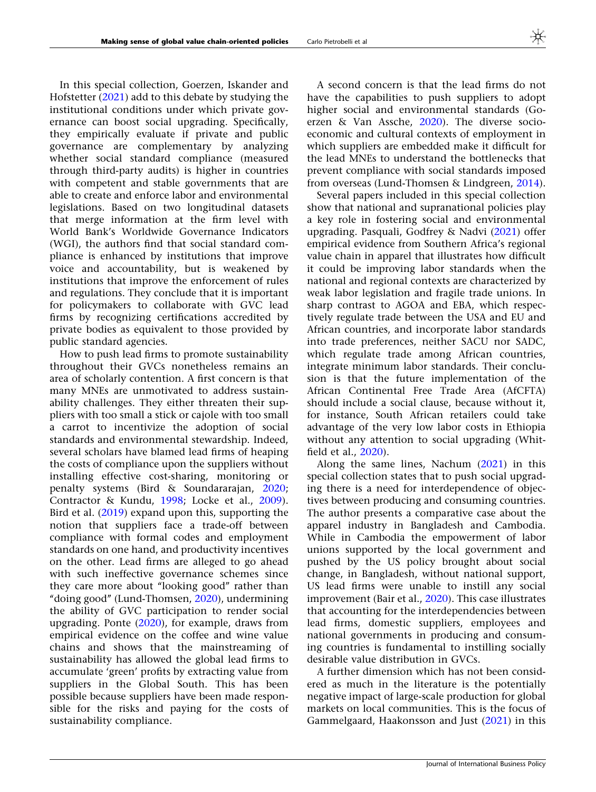In this special collection, Goerzen, Iskander and Hofstetter [\(2021](#page-17-0)) add to this debate by studying the institutional conditions under which private governance can boost social upgrading. Specifically, they empirically evaluate if private and public governance are complementary by analyzing whether social standard compliance (measured through third-party audits) is higher in countries with competent and stable governments that are able to create and enforce labor and environmental legislations. Based on two longitudinal datasets

that merge information at the firm level with World Bank's Worldwide Governance Indicators (WGI), the authors find that social standard compliance is enhanced by institutions that improve voice and accountability, but is weakened by institutions that improve the enforcement of rules and regulations. They conclude that it is important for policymakers to collaborate with GVC lead firms by recognizing certifications accredited by private bodies as equivalent to those provided by public standard agencies.

How to push lead firms to promote sustainability throughout their GVCs nonetheless remains an area of scholarly contention. A first concern is that many MNEs are unmotivated to address sustainability challenges. They either threaten their suppliers with too small a stick or cajole with too small a carrot to incentivize the adoption of social standards and environmental stewardship. Indeed, several scholars have blamed lead firms of heaping the costs of compliance upon the suppliers without installing effective cost-sharing, monitoring or penalty systems (Bird & Soundararajan, [2020;](#page-16-0) Contractor & Kundu, [1998](#page-17-0); Locke et al., [2009\)](#page-18-0). Bird et al. [\(2019](#page-16-0)) expand upon this, supporting the notion that suppliers face a trade-off between compliance with formal codes and employment standards on one hand, and productivity incentives on the other. Lead firms are alleged to go ahead with such ineffective governance schemes since they care more about ''looking good'' rather than ''doing good'' (Lund-Thomsen, [2020\)](#page-18-0), undermining the ability of GVC participation to render social upgrading. Ponte [\(2020](#page-18-0)), for example, draws from empirical evidence on the coffee and wine value chains and shows that the mainstreaming of sustainability has allowed the global lead firms to accumulate 'green' profits by extracting value from suppliers in the Global South. This has been possible because suppliers have been made responsible for the risks and paying for the costs of sustainability compliance.

A second concern is that the lead firms do not have the capabilities to push suppliers to adopt higher social and environmental standards (Goerzen & Van Assche, [2020](#page-17-0)). The diverse socioeconomic and cultural contexts of employment in which suppliers are embedded make it difficult for the lead MNEs to understand the bottlenecks that prevent compliance with social standards imposed from overseas (Lund-Thomsen & Lindgreen, [2014](#page-18-0)).

Several papers included in this special collection show that national and supranational policies play a key role in fostering social and environmental upgrading. Pasquali, Godfrey & Nadvi ([2021\)](#page-18-0) offer empirical evidence from Southern Africa's regional value chain in apparel that illustrates how difficult it could be improving labor standards when the national and regional contexts are characterized by weak labor legislation and fragile trade unions. In sharp contrast to AGOA and EBA, which respectively regulate trade between the USA and EU and African countries, and incorporate labor standards into trade preferences, neither SACU nor SADC, which regulate trade among African countries, integrate minimum labor standards. Their conclusion is that the future implementation of the African Continental Free Trade Area (AfCFTA) should include a social clause, because without it, for instance, South African retailers could take advantage of the very low labor costs in Ethiopia without any attention to social upgrading (Whitfield et al., [2020\)](#page-19-0).

Along the same lines, Nachum ([2021](#page-18-0)) in this special collection states that to push social upgrading there is a need for interdependence of objectives between producing and consuming countries. The author presents a comparative case about the apparel industry in Bangladesh and Cambodia. While in Cambodia the empowerment of labor unions supported by the local government and pushed by the US policy brought about social change, in Bangladesh, without national support, US lead firms were unable to instill any social improvement (Bair et al., [2020\)](#page-16-0). This case illustrates that accounting for the interdependencies between lead firms, domestic suppliers, employees and national governments in producing and consuming countries is fundamental to instilling socially desirable value distribution in GVCs.

A further dimension which has not been considered as much in the literature is the potentially negative impact of large-scale production for global markets on local communities. This is the focus of Gammelgaard, Haakonsson and Just ([2021\)](#page-17-0) in this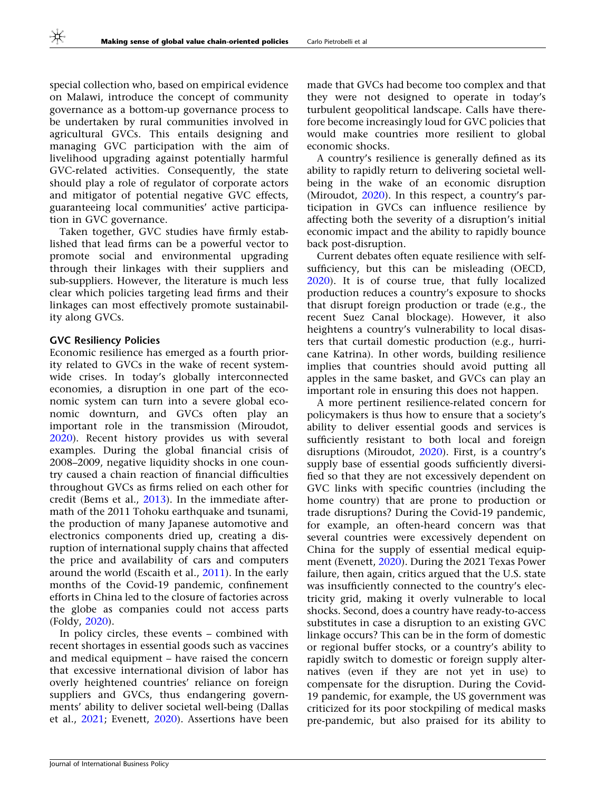special collection who, based on empirical evidence on Malawi, introduce the concept of community governance as a bottom-up governance process to be undertaken by rural communities involved in agricultural GVCs. This entails designing and managing GVC participation with the aim of livelihood upgrading against potentially harmful GVC-related activities. Consequently, the state should play a role of regulator of corporate actors and mitigator of potential negative GVC effects, guaranteeing local communities' active participation in GVC governance.

Taken together, GVC studies have firmly established that lead firms can be a powerful vector to promote social and environmental upgrading through their linkages with their suppliers and sub-suppliers. However, the literature is much less clear which policies targeting lead firms and their linkages can most effectively promote sustainability along GVCs.

# GVC Resiliency Policies

Economic resilience has emerged as a fourth priority related to GVCs in the wake of recent systemwide crises. In today's globally interconnected economies, a disruption in one part of the economic system can turn into a severe global economic downturn, and GVCs often play an important role in the transmission (Miroudot, [2020\)](#page-18-0). Recent history provides us with several examples. During the global financial crisis of 2008–2009, negative liquidity shocks in one country caused a chain reaction of financial difficulties throughout GVCs as firms relied on each other for credit (Bems et al., [2013](#page-16-0)). In the immediate aftermath of the 2011 Tohoku earthquake and tsunami, the production of many Japanese automotive and electronics components dried up, creating a disruption of international supply chains that affected the price and availability of cars and computers around the world (Escaith et al., [2011](#page-17-0)). In the early months of the Covid-19 pandemic, confinement efforts in China led to the closure of factories across the globe as companies could not access parts (Foldy, [2020](#page-17-0)).

In policy circles, these events – combined with recent shortages in essential goods such as vaccines and medical equipment – have raised the concern that excessive international division of labor has overly heightened countries' reliance on foreign suppliers and GVCs, thus endangering governments' ability to deliver societal well-being (Dallas et al., [2021](#page-17-0); Evenett, [2020\)](#page-17-0). Assertions have been

made that GVCs had become too complex and that they were not designed to operate in today's turbulent geopolitical landscape. Calls have therefore become increasingly loud for GVC policies that would make countries more resilient to global economic shocks.

A country's resilience is generally defined as its ability to rapidly return to delivering societal wellbeing in the wake of an economic disruption (Miroudot, [2020\)](#page-18-0). In this respect, a country's participation in GVCs can influence resilience by affecting both the severity of a disruption's initial economic impact and the ability to rapidly bounce back post-disruption.

Current debates often equate resilience with selfsufficiency, but this can be misleading (OECD, [2020\)](#page-18-0). It is of course true, that fully localized production reduces a country's exposure to shocks that disrupt foreign production or trade (e.g., the recent Suez Canal blockage). However, it also heightens a country's vulnerability to local disasters that curtail domestic production (e.g., hurricane Katrina). In other words, building resilience implies that countries should avoid putting all apples in the same basket, and GVCs can play an important role in ensuring this does not happen.

A more pertinent resilience-related concern for policymakers is thus how to ensure that a society's ability to deliver essential goods and services is sufficiently resistant to both local and foreign disruptions (Miroudot, [2020](#page-18-0)). First, is a country's supply base of essential goods sufficiently diversified so that they are not excessively dependent on GVC links with specific countries (including the home country) that are prone to production or trade disruptions? During the Covid-19 pandemic, for example, an often-heard concern was that several countries were excessively dependent on China for the supply of essential medical equipment (Evenett, [2020](#page-17-0)). During the 2021 Texas Power failure, then again, critics argued that the U.S. state was insufficiently connected to the country's electricity grid, making it overly vulnerable to local shocks. Second, does a country have ready-to-access substitutes in case a disruption to an existing GVC linkage occurs? This can be in the form of domestic or regional buffer stocks, or a country's ability to rapidly switch to domestic or foreign supply alternatives (even if they are not yet in use) to compensate for the disruption. During the Covid-19 pandemic, for example, the US government was criticized for its poor stockpiling of medical masks pre-pandemic, but also praised for its ability to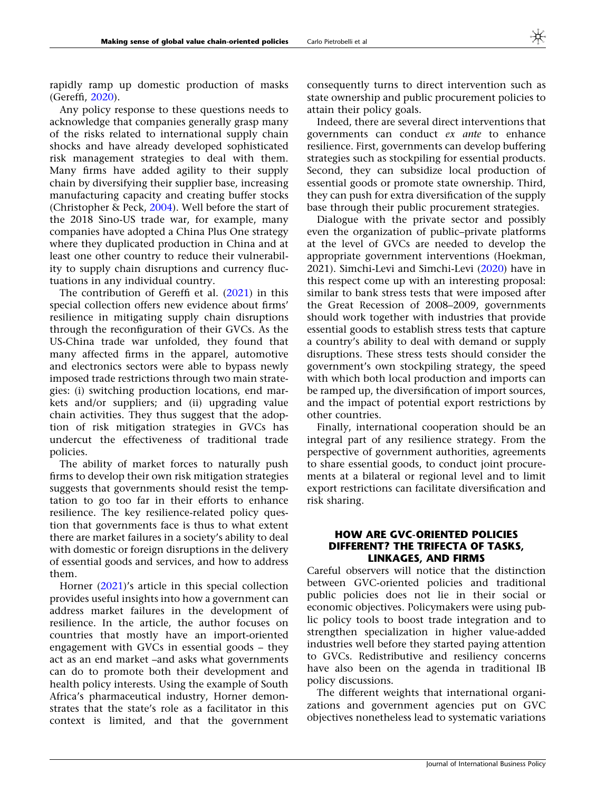rapidly ramp up domestic production of masks (Gereffi, [2020\)](#page-17-0).

Any policy response to these questions needs to acknowledge that companies generally grasp many of the risks related to international supply chain shocks and have already developed sophisticated risk management strategies to deal with them. Many firms have added agility to their supply chain by diversifying their supplier base, increasing manufacturing capacity and creating buffer stocks (Christopher & Peck, [2004](#page-17-0)). Well before the start of the 2018 Sino-US trade war, for example, many companies have adopted a China Plus One strategy where they duplicated production in China and at least one other country to reduce their vulnerability to supply chain disruptions and currency fluctuations in any individual country.

The contribution of Gereffi et al. [\(2021](#page-17-0)) in this special collection offers new evidence about firms' resilience in mitigating supply chain disruptions through the reconfiguration of their GVCs. As the US-China trade war unfolded, they found that many affected firms in the apparel, automotive and electronics sectors were able to bypass newly imposed trade restrictions through two main strategies: (i) switching production locations, end markets and/or suppliers; and (ii) upgrading value chain activities. They thus suggest that the adoption of risk mitigation strategies in GVCs has undercut the effectiveness of traditional trade policies.

The ability of market forces to naturally push firms to develop their own risk mitigation strategies suggests that governments should resist the temptation to go too far in their efforts to enhance resilience. The key resilience-related policy question that governments face is thus to what extent there are market failures in a society's ability to deal with domestic or foreign disruptions in the delivery of essential goods and services, and how to address them.

Horner ([2021](#page-17-0))'s article in this special collection provides useful insights into how a government can address market failures in the development of resilience. In the article, the author focuses on countries that mostly have an import-oriented engagement with GVCs in essential goods – they act as an end market –and asks what governments can do to promote both their development and health policy interests. Using the example of South Africa's pharmaceutical industry, Horner demonstrates that the state's role as a facilitator in this context is limited, and that the government

consequently turns to direct intervention such as state ownership and public procurement policies to attain their policy goals.

Indeed, there are several direct interventions that governments can conduct ex ante to enhance resilience. First, governments can develop buffering strategies such as stockpiling for essential products. Second, they can subsidize local production of essential goods or promote state ownership. Third, they can push for extra diversification of the supply base through their public procurement strategies.

Dialogue with the private sector and possibly even the organization of public–private platforms at the level of GVCs are needed to develop the appropriate government interventions (Hoekman, 2021). Simchi-Levi and Simchi-Levi ([2020](#page-19-0)) have in this respect come up with an interesting proposal: similar to bank stress tests that were imposed after the Great Recession of 2008–2009, governments should work together with industries that provide essential goods to establish stress tests that capture a country's ability to deal with demand or supply disruptions. These stress tests should consider the government's own stockpiling strategy, the speed with which both local production and imports can be ramped up, the diversification of import sources, and the impact of potential export restrictions by other countries.

Finally, international cooperation should be an integral part of any resilience strategy. From the perspective of government authorities, agreements to share essential goods, to conduct joint procurements at a bilateral or regional level and to limit export restrictions can facilitate diversification and risk sharing.

### HOW ARE GVC-ORIENTED POLICIES DIFFERENT? THE TRIFECTA OF TASKS, LINKAGES, AND FIRMS

Careful observers will notice that the distinction between GVC-oriented policies and traditional public policies does not lie in their social or economic objectives. Policymakers were using public policy tools to boost trade integration and to strengthen specialization in higher value-added industries well before they started paying attention to GVCs. Redistributive and resiliency concerns have also been on the agenda in traditional IB policy discussions.

The different weights that international organizations and government agencies put on GVC objectives nonetheless lead to systematic variations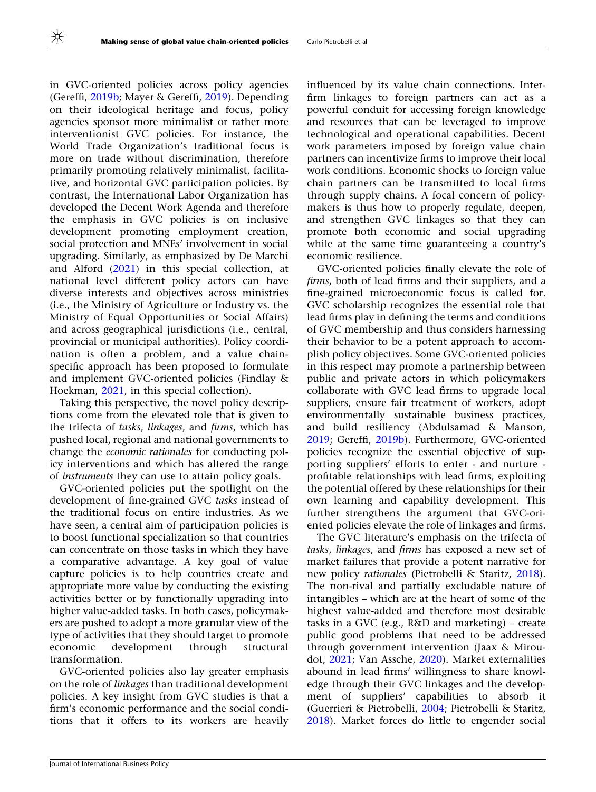in GVC-oriented policies across policy agencies (Gereffi, [2019b;](#page-17-0) Mayer & Gereffi, [2019\)](#page-18-0). Depending on their ideological heritage and focus, policy agencies sponsor more minimalist or rather more interventionist GVC policies. For instance, the World Trade Organization's traditional focus is more on trade without discrimination, therefore primarily promoting relatively minimalist, facilitative, and horizontal GVC participation policies. By contrast, the International Labor Organization has developed the Decent Work Agenda and therefore the emphasis in GVC policies is on inclusive development promoting employment creation, social protection and MNEs' involvement in social upgrading. Similarly, as emphasized by De Marchi and Alford [\(2021\)](#page-17-0) in this special collection, at national level different policy actors can have diverse interests and objectives across ministries (i.e., the Ministry of Agriculture or Industry vs. the Ministry of Equal Opportunities or Social Affairs) and across geographical jurisdictions (i.e., central, provincial or municipal authorities). Policy coordination is often a problem, and a value chainspecific approach has been proposed to formulate and implement GVC-oriented policies (Findlay & Hoekman, [2021](#page-17-0), in this special collection).

Taking this perspective, the novel policy descriptions come from the elevated role that is given to the trifecta of tasks, linkages, and firms, which has pushed local, regional and national governments to change the economic rationales for conducting policy interventions and which has altered the range of instruments they can use to attain policy goals.

GVC-oriented policies put the spotlight on the development of fine-grained GVC tasks instead of the traditional focus on entire industries. As we have seen, a central aim of participation policies is to boost functional specialization so that countries can concentrate on those tasks in which they have a comparative advantage. A key goal of value capture policies is to help countries create and appropriate more value by conducting the existing activities better or by functionally upgrading into higher value-added tasks. In both cases, policymakers are pushed to adopt a more granular view of the type of activities that they should target to promote economic development through structural transformation.

GVC-oriented policies also lay greater emphasis on the role of linkages than traditional development policies. A key insight from GVC studies is that a firm's economic performance and the social conditions that it offers to its workers are heavily influenced by its value chain connections. Interfirm linkages to foreign partners can act as a powerful conduit for accessing foreign knowledge and resources that can be leveraged to improve technological and operational capabilities. Decent work parameters imposed by foreign value chain partners can incentivize firms to improve their local work conditions. Economic shocks to foreign value chain partners can be transmitted to local firms through supply chains. A focal concern of policymakers is thus how to properly regulate, deepen, and strengthen GVC linkages so that they can promote both economic and social upgrading while at the same time guaranteeing a country's economic resilience.

GVC-oriented policies finally elevate the role of firms, both of lead firms and their suppliers, and a fine-grained microeconomic focus is called for. GVC scholarship recognizes the essential role that lead firms play in defining the terms and conditions of GVC membership and thus considers harnessing their behavior to be a potent approach to accomplish policy objectives. Some GVC-oriented policies in this respect may promote a partnership between public and private actors in which policymakers collaborate with GVC lead firms to upgrade local suppliers, ensure fair treatment of workers, adopt environmentally sustainable business practices, and build resiliency (Abdulsamad & Manson, [2019;](#page-16-0) Gereffi, [2019b](#page-17-0)). Furthermore, GVC-oriented policies recognize the essential objective of supporting suppliers' efforts to enter - and nurture profitable relationships with lead firms, exploiting the potential offered by these relationships for their own learning and capability development. This further strengthens the argument that GVC-oriented policies elevate the role of linkages and firms.

The GVC literature's emphasis on the trifecta of tasks, linkages, and firms has exposed a new set of market failures that provide a potent narrative for new policy rationales (Pietrobelli & Staritz, [2018](#page-18-0)). The non-rival and partially excludable nature of intangibles – which are at the heart of some of the highest value-added and therefore most desirable tasks in a GVC (e.g., R&D and marketing) – create public good problems that need to be addressed through government intervention (Jaax & Miroudot, [2021](#page-18-0); Van Assche, [2020](#page-19-0)). Market externalities abound in lead firms' willingness to share knowledge through their GVC linkages and the development of suppliers' capabilities to absorb it (Guerrieri & Pietrobelli, [2004](#page-17-0); Pietrobelli & Staritz, [2018\)](#page-18-0). Market forces do little to engender social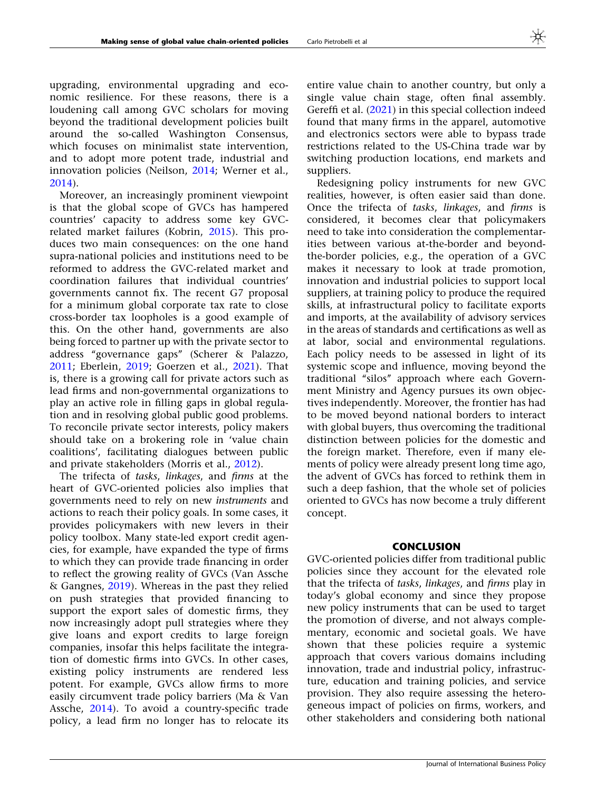upgrading, environmental upgrading and economic resilience. For these reasons, there is a loudening call among GVC scholars for moving beyond the traditional development policies built around the so-called Washington Consensus, which focuses on minimalist state intervention, and to adopt more potent trade, industrial and innovation policies (Neilson, [2014;](#page-18-0) Werner et al., [2014\)](#page-19-0).

Moreover, an increasingly prominent viewpoint is that the global scope of GVCs has hampered countries' capacity to address some key GVCrelated market failures (Kobrin, [2015\)](#page-18-0). This produces two main consequences: on the one hand supra-national policies and institutions need to be reformed to address the GVC-related market and coordination failures that individual countries' governments cannot fix. The recent G7 proposal for a minimum global corporate tax rate to close cross-border tax loopholes is a good example of this. On the other hand, governments are also being forced to partner up with the private sector to address ''governance gaps'' (Scherer & Palazzo, [2011;](#page-19-0) Eberlein, [2019;](#page-17-0) Goerzen et al., [2021\)](#page-17-0). That is, there is a growing call for private actors such as lead firms and non-governmental organizations to play an active role in filling gaps in global regulation and in resolving global public good problems. To reconcile private sector interests, policy makers should take on a brokering role in 'value chain coalitions', facilitating dialogues between public and private stakeholders (Morris et al., [2012\)](#page-18-0).

The trifecta of tasks, linkages, and firms at the heart of GVC-oriented policies also implies that governments need to rely on new instruments and actions to reach their policy goals. In some cases, it provides policymakers with new levers in their policy toolbox. Many state-led export credit agencies, for example, have expanded the type of firms to which they can provide trade financing in order to reflect the growing reality of GVCs (Van Assche & Gangnes, [2019\)](#page-19-0). Whereas in the past they relied on push strategies that provided financing to support the export sales of domestic firms, they now increasingly adopt pull strategies where they give loans and export credits to large foreign companies, insofar this helps facilitate the integration of domestic firms into GVCs. In other cases, existing policy instruments are rendered less potent. For example, GVCs allow firms to more easily circumvent trade policy barriers (Ma & Van Assche, [2014\)](#page-18-0). To avoid a country-specific trade policy, a lead firm no longer has to relocate its

entire value chain to another country, but only a single value chain stage, often final assembly. Gereffi et al. ([2021](#page-17-0)) in this special collection indeed found that many firms in the apparel, automotive and electronics sectors were able to bypass trade restrictions related to the US-China trade war by switching production locations, end markets and suppliers.

Redesigning policy instruments for new GVC realities, however, is often easier said than done. Once the trifecta of tasks, linkages, and firms is considered, it becomes clear that policymakers need to take into consideration the complementarities between various at-the-border and beyondthe-border policies, e.g., the operation of a GVC makes it necessary to look at trade promotion, innovation and industrial policies to support local suppliers, at training policy to produce the required skills, at infrastructural policy to facilitate exports and imports, at the availability of advisory services in the areas of standards and certifications as well as at labor, social and environmental regulations. Each policy needs to be assessed in light of its systemic scope and influence, moving beyond the traditional "silos" approach where each Government Ministry and Agency pursues its own objectives independently. Moreover, the frontier has had to be moved beyond national borders to interact with global buyers, thus overcoming the traditional distinction between policies for the domestic and the foreign market. Therefore, even if many elements of policy were already present long time ago, the advent of GVCs has forced to rethink them in such a deep fashion, that the whole set of policies oriented to GVCs has now become a truly different concept.

# **CONCLUSION**

GVC-oriented policies differ from traditional public policies since they account for the elevated role that the trifecta of tasks, linkages, and firms play in today's global economy and since they propose new policy instruments that can be used to target the promotion of diverse, and not always complementary, economic and societal goals. We have shown that these policies require a systemic approach that covers various domains including innovation, trade and industrial policy, infrastructure, education and training policies, and service provision. They also require assessing the heterogeneous impact of policies on firms, workers, and other stakeholders and considering both national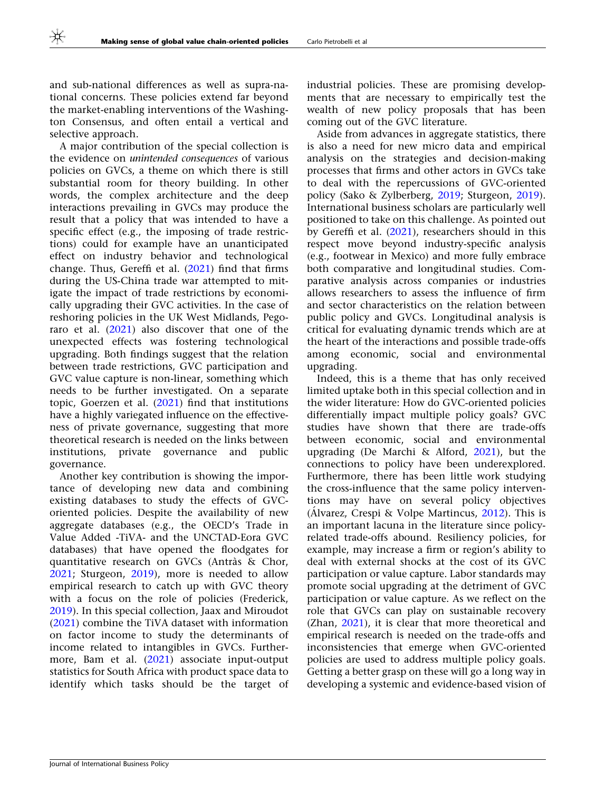and sub-national differences as well as supra-national concerns. These policies extend far beyond the market-enabling interventions of the Washington Consensus, and often entail a vertical and selective approach.

A major contribution of the special collection is the evidence on unintended consequences of various policies on GVCs, a theme on which there is still substantial room for theory building. In other words, the complex architecture and the deep interactions prevailing in GVCs may produce the result that a policy that was intended to have a specific effect (e.g., the imposing of trade restrictions) could for example have an unanticipated effect on industry behavior and technological change. Thus, Gereffi et al.  $(2021)$  $(2021)$  find that firms during the US-China trade war attempted to mitigate the impact of trade restrictions by economically upgrading their GVC activities. In the case of reshoring policies in the UK West Midlands, Pegoraro et al. [\(2021](#page-18-0)) also discover that one of the unexpected effects was fostering technological upgrading. Both findings suggest that the relation between trade restrictions, GVC participation and GVC value capture is non-linear, something which needs to be further investigated. On a separate topic, Goerzen et al. ([2021](#page-17-0)) find that institutions have a highly variegated influence on the effectiveness of private governance, suggesting that more theoretical research is needed on the links between institutions, private governance and public governance.

Another key contribution is showing the importance of developing new data and combining existing databases to study the effects of GVCoriented policies. Despite the availability of new aggregate databases (e.g., the OECD's Trade in Value Added -TiVA- and the UNCTAD-Eora GVC databases) that have opened the floodgates for quantitative research on GVCs (Antràs & Chor, [2021;](#page-16-0) Sturgeon, [2019](#page-19-0)), more is needed to allow empirical research to catch up with GVC theory with a focus on the role of policies (Frederick, [2019\)](#page-17-0). In this special collection, Jaax and Miroudot [\(2021](#page-18-0)) combine the TiVA dataset with information on factor income to study the determinants of income related to intangibles in GVCs. Furthermore, Bam et al. [\(2021](#page-16-0)) associate input-output statistics for South Africa with product space data to identify which tasks should be the target of industrial policies. These are promising developments that are necessary to empirically test the wealth of new policy proposals that has been coming out of the GVC literature.

Aside from advances in aggregate statistics, there is also a need for new micro data and empirical analysis on the strategies and decision-making processes that firms and other actors in GVCs take to deal with the repercussions of GVC-oriented policy (Sako & Zylberberg, [2019;](#page-18-0) Sturgeon, [2019](#page-19-0)). International business scholars are particularly well positioned to take on this challenge. As pointed out by Gereffi et al. ([2021](#page-17-0)), researchers should in this respect move beyond industry-specific analysis (e.g., footwear in Mexico) and more fully embrace both comparative and longitudinal studies. Comparative analysis across companies or industries allows researchers to assess the influence of firm and sector characteristics on the relation between public policy and GVCs. Longitudinal analysis is critical for evaluating dynamic trends which are at the heart of the interactions and possible trade-offs among economic, social and environmental upgrading.

Indeed, this is a theme that has only received limited uptake both in this special collection and in the wider literature: How do GVC-oriented policies differentially impact multiple policy goals? GVC studies have shown that there are trade-offs between economic, social and environmental upgrading (De Marchi & Alford, [2021](#page-17-0)), but the connections to policy have been underexplored. Furthermore, there has been little work studying the cross-influence that the same policy interventions may have on several policy objectives (Álvarez, Crespi & Volpe Martincus, [2012](#page-16-0)). This is an important lacuna in the literature since policyrelated trade-offs abound. Resiliency policies, for example, may increase a firm or region's ability to deal with external shocks at the cost of its GVC participation or value capture. Labor standards may promote social upgrading at the detriment of GVC participation or value capture. As we reflect on the role that GVCs can play on sustainable recovery (Zhan, [2021](#page-19-0)), it is clear that more theoretical and empirical research is needed on the trade-offs and inconsistencies that emerge when GVC-oriented policies are used to address multiple policy goals. Getting a better grasp on these will go a long way in developing a systemic and evidence-based vision of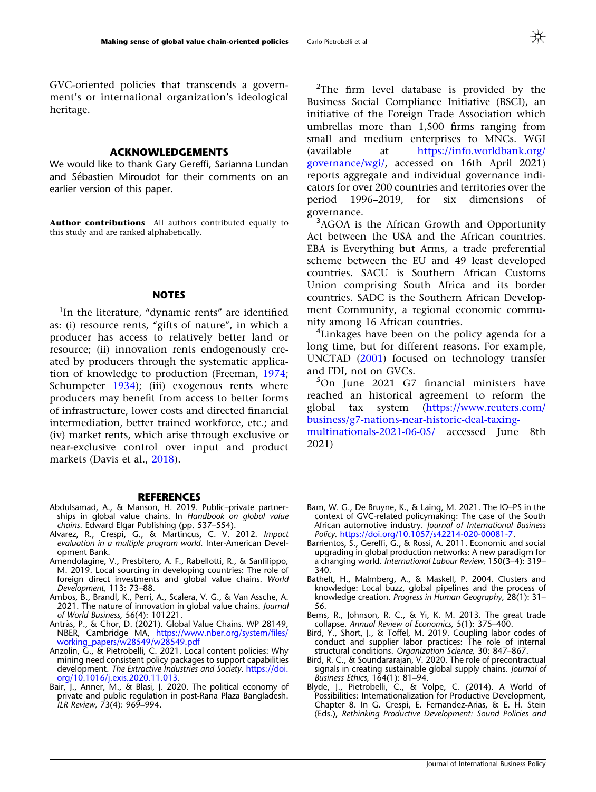<span id="page-16-0"></span>GVC-oriented policies that transcends a government's or international organization's ideological heritage.

#### ACKNOWLEDGEMENTS

We would like to thank Gary Gereffi, Sarianna Lundan and Sébastien Miroudot for their comments on an earlier version of this paper.

Author contributions All authors contributed equally to this study and are ranked alphabetically.

#### **NOTES**

<sup>1</sup>In the literature, "dynamic rents" are identified as: (i) resource rents, "gifts of nature", in which a producer has access to relatively better land or resource; (ii) innovation rents endogenously created by producers through the systematic application of knowledge to production (Freeman, [1974;](#page-17-0) Schumpeter [1934](#page-19-0)); (iii) exogenous rents where producers may benefit from access to better forms of infrastructure, lower costs and directed financial intermediation, better trained workforce, etc.; and (iv) market rents, which arise through exclusive or near-exclusive control over input and product markets (Davis et al., [2018](#page-17-0)).

#### **REFERENCES**

- Abdulsamad, A., & Manson, H. 2019. Public–private partnerships in global value chains. In Handbook on global value chains. Edward Elgar Publishing (pp. 537–554).
- Alvarez, R., Crespi, G., & Martincus, C. V. 2012. Impact evaluation in a multiple program world. Inter-American Development Bank.
- Amendolagine, V., Presbitero, A. F., Rabellotti, R., & Sanfilippo, M. 2019. Local sourcing in developing countries: The role of foreign direct investments and global value chains. World Development, 113: 73–88.
- Ambos, B., Brandl, K., Perri, A., Scalera, V. G., & Van Assche, A. 2021. The nature of innovation in global value chains. Journal of World Business, 56(4): 101221.
- Antràs, P., & Chor, D. (2021). Global Value Chains. WP 28149, NBER, Cambridge MA, [https://www.nber.org/system/files/](https://www.nber.org/system/files/working_papers/w28549/w28549.pdf) [working\\_papers/w28549/w28549.pdf](https://www.nber.org/system/files/working_papers/w28549/w28549.pdf)
- Anzolin, G., & Pietrobelli, C. 2021. Local content policies: Why mining need consistent policy packages to support capabilities development. The Extractive Industries and Society. [https://doi.](http://dx.doi.org/10.1016/j.exis.2020.11.013) [org/10.1016/j.exis.2020.11.013.](http://dx.doi.org/10.1016/j.exis.2020.11.013)
- Bair, J., Anner, M., & Blasi, J. 2020. The political economy of private and public regulation in post-Rana Plaza Bangladesh. ILR Review, 73(4): 969–994.

<sup>2</sup>The firm level database is provided by the Business Social Compliance Initiative (BSCI), an initiative of the Foreign Trade Association which umbrellas more than 1,500 firms ranging from small and medium enterprises to MNCs. WGI (available at [https://info.worldbank.org/](https://info.worldbank.org/governance/wgi/) [governance/wgi/,](https://info.worldbank.org/governance/wgi/) accessed on 16th April 2021) reports aggregate and individual governance indicators for over 200 countries and territories over the period 1996–2019, for six dimensions of governance.

<sup>3</sup>AGOA is the African Growth and Opportunity Act between the USA and the African countries. EBA is Everything but Arms, a trade preferential scheme between the EU and 49 least developed countries. SACU is Southern African Customs Union comprising South Africa and its border countries. SADC is the Southern African Development Community, a regional economic community among 16 African countries.

<sup>4</sup>Linkages have been on the policy agenda for a long time, but for different reasons. For example, UNCTAD [\(2001\)](#page-19-0) focused on technology transfer and FDI, not on GVCs.

5 On June 2021 G7 financial ministers have reached an historical agreement to reform the global tax system ([https://www.reuters.com/](https://www.reuters.com/business/g7-nations-near-historic-deal-taxing-multinationals-2021-06-05/) [business/g7-nations-near-historic-deal-taxing](https://www.reuters.com/business/g7-nations-near-historic-deal-taxing-multinationals-2021-06-05/)[multinationals-2021-06-05/](https://www.reuters.com/business/g7-nations-near-historic-deal-taxing-multinationals-2021-06-05/) accessed June 8th

2021)

- Bam, W. G., De Bruyne, K., & Laing, M. 2021. The IO–PS in the context of GVC-related policymaking: The case of the South African automotive industry. Journal of International Business Policy. [https://doi.org/10.1057/s42214-020-00081-7.](http://dx.doi.org/10.1057/s42214-020-00081-7)
- Barrientos, S., Gereffi, G., & Rossi, A. 2011. Economic and social upgrading in global production networks: A new paradigm for a changing world. International Labour Review, 150(3–4): 319– 340.
- Bathelt, H., Malmberg, A., & Maskell, P. 2004. Clusters and knowledge: Local buzz, global pipelines and the process of knowledge creation. Progress in Human Geography, 28(1): 31– 56.
- Bems, R., Johnson, R. C., & Yi, K. M. 2013. The great trade collapse. Annual Review of Economics, 5(1): 375–400.
- Bird, Y., Short, J., & Toffel, M. 2019. Coupling labor codes of conduct and supplier labor practices: The role of internal structural conditions. Organization Science, 30: 847–867.
- Bird, R. C., & Soundararajan, V. 2020. The role of precontractual signals in creating sustainable global supply chains. Journal of Business Ethics, 164(1): 81–94.
- Blyde, J., Pietrobelli, C., & Volpe, C. (2014). A World of Possibilities: Internationalization for Productive Development, Chapter 8. In G. Crespi, E. Fernandez-Arias, & E. H. Stein (Eds.), Rethinking Productive Development: Sound Policies and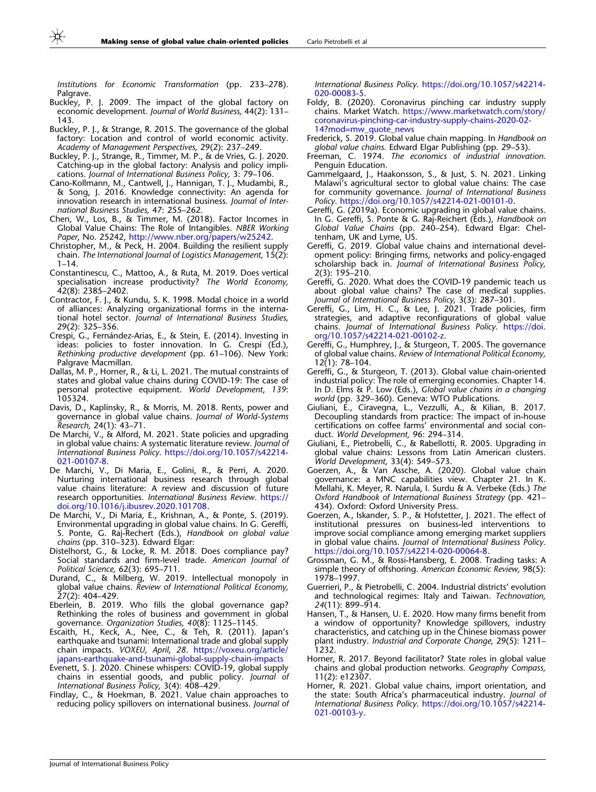Institutions for Economic Transformation (pp. 233–278). Palgrave.

- Buckley, P. J. 2009. The impact of the global factory on economic development. Journal of World Business, 44(2): 131– 143.
- Buckley, P. J., & Strange, R. 2015. The governance of the global factory: Location and control of world economic activity. Academy of Management Perspectives, 29(2): 237–249.
- Buckley, P. J., Strange, R., Timmer, M. P., & de Vries, G. J. 2020. Catching-up in the global factory: Analysis and policy implications. Journal of International Business Policy, 3: 79–106.
- Cano-Kollmann, M., Cantwell, J., Hannigan, T. J., Mudambi, R., & Song, J. 2016. Knowledge connectivity: An agenda for innovation research in international business. Journal of International Business Studies, 47: 255–262.
- Chen, W., Los, B., & Timmer, M. (2018). Factor Incomes in Global Value Chains: The Role of Intangibles. NBER Working Paper, No. 25242, [http://www.nber.org/papers/w25242.](http://www.nber.org/papers/w25242)
- Christopher, M., & Peck, H. 2004. Building the resilient supply chain. The International Journal of Logistics Management, 15(2): 1–14.
- Constantinescu, C., Mattoo, A., & Ruta, M. 2019. Does vertical specialisation increase productivity? The World Economy, 42(8): 2385–2402.
- Contractor, F. J., & Kundu, S. K. 1998. Modal choice in a world of alliances: Analyzing organizational forms in the international hotel sector. Journal of International Business Studies, 29(2): 325–356.
- Crespi, G., Fernández-Arias, E., & Stein, E. (2014). Investing in ideas: policies to foster innovation. In G. Crespi (Ed.), Rethinking productive development (pp. 61–106). New York: Palgrave Macmillan.
- Dallas, M. P., Horner, R., & Li, L. 2021. The mutual constraints of states and global value chains during COVID-19: The case of personal protective equipment. World Development, 139: 105324.
- Davis, D., Kaplinsky, R., & Morris, M. 2018. Rents, power and governance in global value chains. Journal of World-Systems Research, 24(1): 43–71.
- De Marchi, V., & Alford, M. 2021. State policies and upgrading in global value chains: A systematic literature review. Journal of International Business Policy. [https://doi.org/10.1057/s42214-](http://dx.doi.org/10.1057/s42214-021-00107-8) [021-00107-8](http://dx.doi.org/10.1057/s42214-021-00107-8).
- De Marchi, V., Di Maria, E., Golini, R., & Perri, A. 2020. Nurturing international business research through global value chains literature: A review and discussion of future research opportunities. International Business Review. [https://](http://dx.doi.org/10.1016/j.ibusrev.2020.101708) [doi.org/10.1016/j.ibusrev.2020.101708.](http://dx.doi.org/10.1016/j.ibusrev.2020.101708)
- De Marchi, V., Di Maria, E., Krishnan, A., & Ponte, S. (2019). Environmental upgrading in global value chains. In G. Gereffi, S. Ponte, G. Raj-Rechert (Eds.), Handbook on global value chains (pp. 310–323). Edward Elgar:
- Distelhorst, G., & Locke, R. M. 2018. Does compliance pay? Social standards and firm-level trade. American Journal of Political Science, 62(3): 695–711.
- Durand, C., & Milberg, W. 2019. Intellectual monopoly in global value chains. Review of International Political Economy, 27(2): 404–429.
- Eberlein, B. 2019. Who fills the global governance gap? Rethinking the roles of business and government in global governance. Organization Studies, 40(8): 1125–1145.
- Escaith, H., Keck, A., Nee, C., & Teh, R. (2011). Japan's earthquake and tsunami: International trade and global supply chain impacts. VOXEU, April, 28. [https://voxeu.org/article/](https://voxeu.org/article/japans-earthquake-and-tsunami-global-supply-chain-impacts) [japans-earthquake-and-tsunami-global-supply-chain-impacts](https://voxeu.org/article/japans-earthquake-and-tsunami-global-supply-chain-impacts)
- Evenett, S. J. 2020. Chinese whispers: COVID-19, global supply chains in essential goods, and public policy. Journal of International Business Policy, 3(4): 408–429.
- Findlay, C., & Hoekman, B. 2021. Value chain approaches to reducing policy spillovers on international business. Journal of

International Business Policy. [https://doi.org/10.1057/s42214-](http://dx.doi.org/10.1057/s42214-020-00083-5) [020-00083-5.](http://dx.doi.org/10.1057/s42214-020-00083-5)

- Foldy, B. (2020). Coronavirus pinching car industry supply chains. Market Watch. [https://www.marketwatch.com/story/](https://www.marketwatch.com/story/coronavirus-pinching-car-industry-supply-chains-2020-02-14?mod=mw_quote_news) [coronavirus-pinching-car-industry-supply-chains-2020-02-](https://www.marketwatch.com/story/coronavirus-pinching-car-industry-supply-chains-2020-02-14?mod=mw_quote_news) [14?mod=mw\\_quote\\_news](https://www.marketwatch.com/story/coronavirus-pinching-car-industry-supply-chains-2020-02-14?mod=mw_quote_news)
- Frederick, S. 2019. Global value chain mapping. In Handbook on global value chains. Edward Elgar Publishing (pp. 29–53).
- Freeman, C. 1974. The economics of industrial innovation. Penguin Education.
- Gammelgaard, J., Haakonsson, S., & Just, S. N. 2021. Linking Malawi's agricultural sector to global value chains: The case for community governance. Journal of International Business Policy. [https://doi.org/10.1057/s42214-021-00101-0.](http://dx.doi.org/10.1057/s42214-021-00101-0)
- Gereffi, G. (2019a). Economic upgrading in global value chains. In G. Gereffi, S. Ponte & G. Raj-Reichert (Eds.), Handbook on Global Value Chains (pp. 240–254). Edward Elgar: Cheltenham, UK and Lyme, US.
- Gereffi, G. 2019. Global value chains and international development policy: Bringing firms, networks and policy-engaged scholarship back in. Journal of International Business Policy, 2(3): 195–210.
- Gereffi, G. 2020. What does the COVID-19 pandemic teach us about global value chains? The case of medical supplies. Journal of International Business Policy, 3(3): 287–301.
- Gereffi, G., Lim, H. C., & Lee, J. 2021. Trade policies, firm strategies, and adaptive reconfigurations of global value chains. Journal of International Business Policy. [https://doi.](http://dx.doi.org/10.1057/s42214-021-00102-z) [org/10.1057/s42214-021-00102-z.](http://dx.doi.org/10.1057/s42214-021-00102-z)
- Gereffi, G., Humphrey, J., & Sturgeon, T. 2005. The governance of global value chains. Review of International Political Economy, 12(1): 78–104.
- Gereffi, G., & Sturgeon, T. (2013). Global value chain-oriented industrial policy: The role of emerging economies. Chapter 14. In D. Elms & P. Low (Eds.), Global value chains in a changing world (pp. 329–360). Geneva: WTO Publications.
- Giuliani, E., Ciravegna, L., Vezzulli, A., & Kilian, B. 2017. Decoupling standards from practice: The impact of in-house certifications on coffee farms' environmental and social conduct. World Development, 96: 294–314.
- Giuliani, E., Pietrobelli, C., & Rabellotti, R. 2005. Upgrading in global value chains: Lessons from Latin American clusters. World Development, 33(4): 549–573.
- Goerzen, A., & Van Assche, A. (2020). Global value chain governance: a MNC capabilities view. Chapter 21. In K. Mellahi, K. Meyer, R. Narula, I. Surdu & A. Verbeke (Eds.) The Oxford Handbook of International Business Strategy (pp. 421– 434). Oxford: Oxford University Press.
- Goerzen, A., Iskander, S. P., & Hofstetter, J. 2021. The effect of institutional pressures on business-led interventions to improve social compliance among emerging market suppliers in global value chains. Journal of International Business Policy. [https://doi.org/10.1057/s42214-020-00064-8](http://dx.doi.org/10.1057/s42214-020-00064-8).
- Grossman, G. M., & Rossi-Hansberg, E. 2008. Trading tasks: A simple theory of offshoring. American Economic Review, 98(5): 1978–1997.
- Guerrieri, P., & Pietrobelli, C. 2004. Industrial districts' evolution and technological regimes: Italy and Taiwan. Technovation, 24(11): 899–914.
- Hansen, T., & Hansen, U. E. 2020. How many firms benefit from a window of opportunity? Knowledge spillovers, industry characteristics, and catching up in the Chinese biomass power plant industry. Industrial and Corporate Change, 29(5): 1211– 1232.
- Horner, R. 2017. Beyond facilitator? State roles in global value chains and global production networks. Geography Compass, 11(2): e12307.
- Horner, R. 2021. Global value chains, import orientation, and the state: South Africa's pharmaceutical industry. Journal of International Business Policy. [https://doi.org/10.1057/s42214-](http://dx.doi.org/10.1057/s42214-021-00103-y) [021-00103-y](http://dx.doi.org/10.1057/s42214-021-00103-y).

<span id="page-17-0"></span>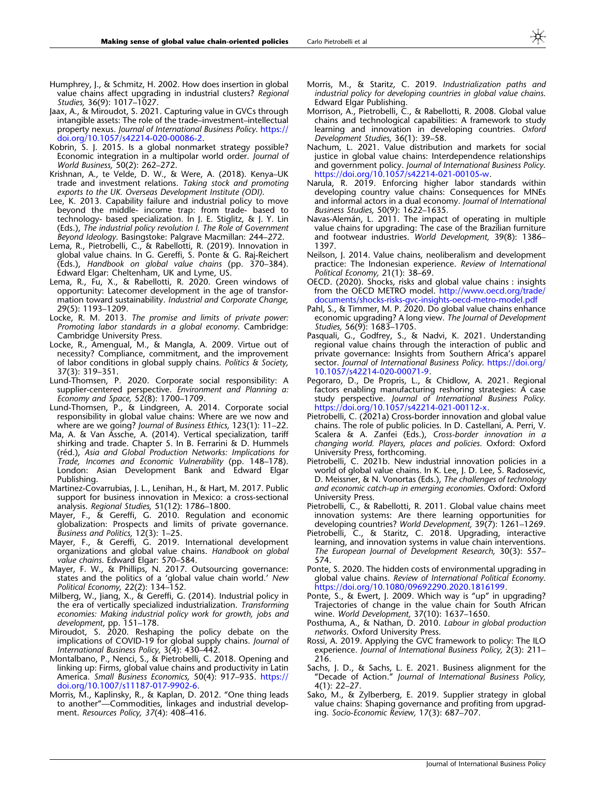- <span id="page-18-0"></span>Humphrey, J., & Schmitz, H. 2002. How does insertion in global value chains affect upgrading in industrial clusters? Regional Studies, 36(9): 1017-1027
- Jaax, A., & Miroudot, S. 2021. Capturing value in GVCs through intangible assets: The role of the trade–investment–intellectual property nexus. Journal of International Business Policy. [https://](http://dx.doi.org/10.1057/s42214-020-00086-2) [doi.org/10.1057/s42214-020-00086-2](http://dx.doi.org/10.1057/s42214-020-00086-2).
- Kobrin, S. J. 2015. Is a global nonmarket strategy possible? Economic integration in a multipolar world order. Journal of World Business, 50(2): 262–272.
- Krishnan, A., te Velde, D. W., & Were, A. (2018). Kenya–UK trade and investment relations. Taking stock and promoting exports to the UK. Overseas Development Institute (ODI).
- Lee, K. 2013. Capability failure and industrial policy to move beyond the middle- income trap: from trade- based to technology- based specialization. In J. E. Stiglitz, & J. Y. Lin (Eds.), The industrial policy revolution I. The Role of Government Beyond Ideology. Basingstoke: Palgrave Macmillan: 244–272.
- Lema, R., Pietrobelli, C., & Rabellotti, R. (2019). Innovation in global value chains. In G. Gereffi, S. Ponte & G. Raj-Reichert (Eds.), Handbook on global value chains (pp. 370–384). Edward Elgar: Cheltenham, UK and Lyme, US.
- Lema, R., Fu, X., & Rabellotti, R. 2020. Green windows of opportunity: Latecomer development in the age of transformation toward sustainability. Industrial and Corporate Change, 29(5): 1193–1209.
- Locke, R. M. 2013. The promise and limits of private power: Promoting labor standards in a global economy. Cambridge: Cambridge University Press.
- Locke, R., Amengual, M., & Mangla, A. 2009. Virtue out of necessity? Compliance, commitment, and the improvement of labor conditions in global supply chains. Politics & Society, 37(3): 319–351.
- Lund-Thomsen, P. 2020. Corporate social responsibility: A supplier-centered perspective. Environment and Planning a: Economy and Space, 52(8): 1700–1709.
- Lund-Thomsen, P., & Lindgreen, A. 2014. Corporate social responsibility in global value chains: Where are we now and where are we going? Journal of Business Ethics, 123(1): 11–22.
- Ma, A. & Van Assche, A. (2014). Vertical specialization, tariff shirking and trade. Chapter 5. In B. Ferrarini & D. Hummels (réd.), Asia and Global Production Networks: Implications for Trade, Incomes and Economic Vulnerability (pp. 148–178). London: Asian Development Bank and Edward Elgar Publishing.
- Martinez-Covarrubias, J. L., Lenihan, H., & Hart, M. 2017. Public support for business innovation in Mexico: a cross-sectional analysis. Regional Studies, 51(12): 1786–1800.
- Mayer, F., & Gereffi, G. 2010. Regulation and economic globalization: Prospects and limits of private governance. Business and Politics, 12(3): 1–25.
- Mayer, F., & Gereffi, G. 2019. International development organizations and global value chains. Handbook on global value chains. Edward Elgar: 570–584.
- Mayer, F. W., & Phillips, N. 2017. Outsourcing governance: states and the politics of a 'global value chain world.' New Political Economy, 22(2): 134–152.
- Milberg, W., Jiang, X., & Gereffi, G. (2014). Industrial policy in the era of vertically specialized industrialization. Transforming economies: Making industrial policy work for growth, jobs and development, pp. 151-178.
- Miroudot, S. 2020. Reshaping the policy debate on the implications of COVID-19 for global supply chains. Journal of International Business Policy, 3(4): 430–442.
- Montalbano, P., Nenci, S., & Pietrobelli, C. 2018. Opening and linking up: Firms, global value chains and productivity in Latin America. Small Business Economics, 50(4): 917-935. [https://](http://dx.doi.org/10.1007/s11187-017-9902-6) [doi.org/10.1007/s11187-017-9902-6](http://dx.doi.org/10.1007/s11187-017-9902-6).
- Morris, M., Kaplinsky, R., & Kaplan, D. 2012. ''One thing leads to another''—Commodities, linkages and industrial development. Resources Policy, 37(4): 408–416.
- Morris, M., & Staritz, C. 2019. Industrialization paths and industrial policy for developing countries in global value chains. Edward Elgar Publishing.
- Morrison, A., Pietrobelli, C., & Rabellotti, R. 2008. Global value chains and technological capabilities: A framework to study learning and innovation in developing countries. Oxford Development Studies, 36(1): 39–58.
- Nachum, L. 2021. Value distribution and markets for social justice in global value chains: Interdependence relationships and government policy. Journal of International Business Policy. [https://doi.org/10.1057/s42214-021-00105-w](http://dx.doi.org/10.1057/s42214-021-00105-w).
- Narula, R. 2019. Enforcing higher labor standards within developing country value chains: Consequences for MNEs and informal actors in a dual economy. Journal of International Business Studies, 50(9): 1622–1635.
- Navas-Alemán, L. 2011. The impact of operating in multiple value chains for upgrading: The case of the Brazilian furniture and footwear industries. World Development, 39(8): 1386– 1397.
- Neilson, J. 2014. Value chains, neoliberalism and development practice: The Indonesian experience. Review of International Political Economy, 21(1): 38–69.
- OECD. (2020). Shocks, risks and global value chains : insights from the OECD METRO model. [http://www.oecd.org/trade/](http://www.oecd.org/trade/documents/shocks-risks-gvc-insights-oecd-metro-model.pdf) [documents/shocks-risks-gvc-insights-oecd-metro-model.pdf](http://www.oecd.org/trade/documents/shocks-risks-gvc-insights-oecd-metro-model.pdf)
- Pahl, S., & Timmer, M. P. 2020. Do global value chains enhance economic upgrading? A long view. The Journal of Development Studies, 56(9): 1683-1705.
- Pasquali, G., Godfrey, S., & Nadvi, K. 2021. Understanding regional value chains through the interaction of public and private governance: Insights from Southern Africa's apparel sector. Journal of International Business Policy. [https://doi.org/](http://dx.doi.org/10.1057/s42214-020-00071-9) [10.1057/s42214-020-00071-9.](http://dx.doi.org/10.1057/s42214-020-00071-9)
- Pegoraro, D., De Propris, L., & Chidlow, A. 2021. Regional factors enabling manufacturing reshoring strategies: A case study perspective. Journal of International Business Policy. [https://doi.org/10.1057/s42214-021-00112-x.](http://dx.doi.org/10.1057/s42214-021-00112-x)
- Pietrobelli, C. (2021a) Cross-border innovation and global value chains. The role of public policies. In D. Castellani, A. Perri, V. Scalera & A. Zanfei (Eds.), Cross-border innovation in a changing world. Players, places and policies. Oxford: Oxford University Press, forthcoming.
- Pietrobelli, C. 2021b. New industrial innovation policies in a world of global value chains. In K. Lee, J. D. Lee, S. Radosevic, D. Meissner, & N. Vonortas (Eds.), The challenges of technology and economic catch-up in emerging economies. Oxford: Oxford University Press.
- Pietrobelli, C., & Rabellotti, R. 2011. Global value chains meet innovation systems: Are there learning opportunities for developing countries? World Development, 39(7): 1261–1269.
- Pietrobelli, C., & Staritz, C. 2018. Upgrading, interactive learning, and innovation systems in value chain interventions. The European Journal of Development Research, 30(3): 557– 574.
- Ponte, S. 2020. The hidden costs of environmental upgrading in global value chains. Review of International Political Economy. [https://doi.org/10.1080/09692290.2020.1816199.](http://dx.doi.org/10.1080/09692290.2020.1816199)
- Ponte, S., & Ewert, J. 2009. Which way is "up" in upgrading? Trajectories of change in the value chain for South African wine. World Development, 37(10): 1637–1650.
- Posthuma, A., & Nathan, D. 2010. Labour in global production networks. Oxford University Press.
- Rossi, A. 2019. Applying the GVC framework to policy: The ILO experience. Journal of International Business Policy, 2(3): 211– 216.
- Sachs, J. D., & Sachs, L. E. 2021. Business alignment for the ''Decade of Action.'' Journal of International Business Policy, 4(1): 22–27.
- Sako, M., & Zylberberg, E. 2019. Supplier strategy in global value chains: Shaping governance and profiting from upgrading. Socio-Economic Review, 17(3): 687–707.